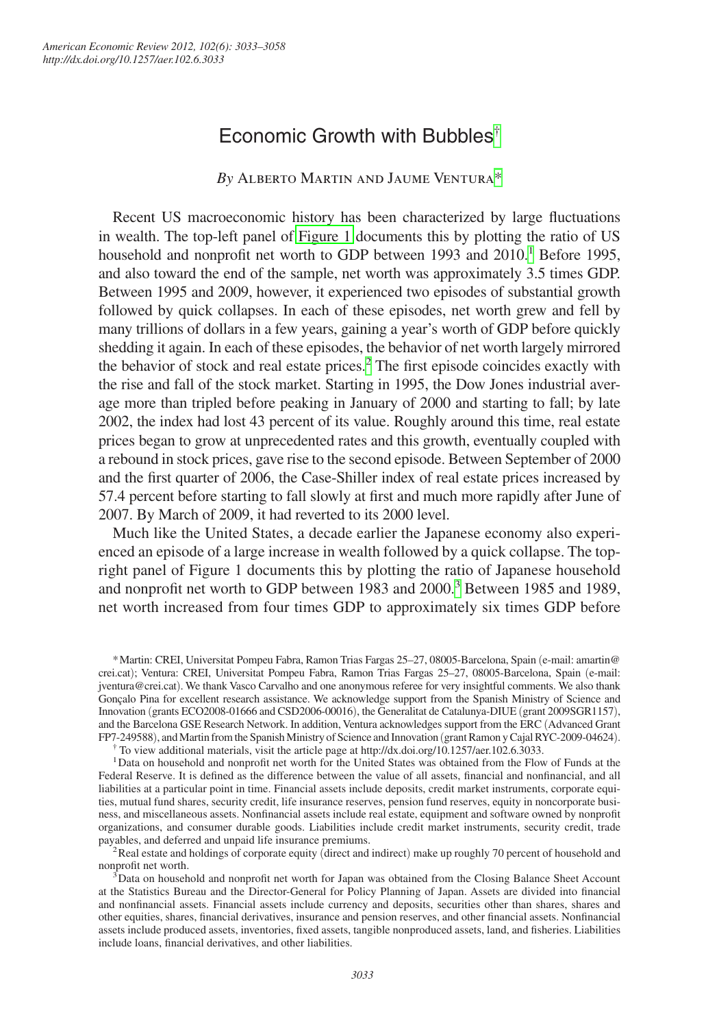# Economic Growth with Bubbles[†](#page-0-0)

# *By* Alberto Martin and Jaume Ventura[\\*](#page-0-1)

Recent US macroeconomic history has been characterized by large fluctuations in wealth. The top-left panel of [Figure 1](#page-1-0) documents this by plotting the ratio of US household and nonprofit net worth to GDP between 1993 and 2010.<sup>1</sup> Before 1995, and also toward the end of the sample, net worth was approximately 3.5 times GDP. Between 1995 and 2009, however, it experienced two episodes of substantial growth followed by quick collapses. In each of these episodes, net worth grew and fell by many trillions of dollars in a few years, gaining a year's worth of GDP before quickly shedding it again. In each of these episodes, the behavior of net worth largely mirrored the behavior of stock and real estate prices.<sup>2</sup> The first episode coincides exactly with the rise and fall of the stock market. Starting in 1995, the Dow Jones industrial average more than tripled before peaking in January of 2000 and starting to fall; by late 2002, the index had lost 43 percent of its value. Roughly around this time, real estate prices began to grow at unprecedented rates and this growth, eventually coupled with a rebound in stock prices, gave rise to the second episode. Between September of 2000 and the first quarter of 2006, the Case-Shiller index of real estate prices increased by 57.4 percent before starting to fall slowly at first and much more rapidly after June of 2007. By March of 2009, it had reverted to its 2000 level.

Much like the United States, a decade earlier the Japanese economy also experienced an episode of a large increase in wealth followed by a quick collapse. The topright panel of Figure 1 documents this by plotting the ratio of Japanese household and nonprofit net worth to GDP between 198[3](#page-0-4) and 2000.<sup>3</sup> Between 1985 and 1989, net worth increased from four times GDP to approximately six times GDP before

<span id="page-0-3"></span> $2R$ eal estate and holdings of corporate equity (direct and indirect) make up roughly 70 percent of household and nonprofit net worth.

<span id="page-0-1"></span><sup>\*</sup>Martin: CREI, Universitat Pompeu Fabra, Ramon Trias Fargas 25–27, 08005-Barcelona, Spain (e-mail: amartin@ crei.cat); Ventura: CREI, Universitat Pompeu Fabra, Ramon Trias Fargas 25–27, 08005-Barcelona, Spain (e-mail: jventura@crei.cat). We thank Vasco Carvalho and one anonymous referee for very insightful comments. We also thank Gonçalo Pina for excellent research assistance. We acknowledge support from the Spanish Ministry of Science and Innovation (grants ECO2008-01666 and CSD2006-00016), the Generalitat de Catalunya-DIUE (grant 2009SGR1157), and the Barcelona GSE Research Network. In addition, Ventura acknowledges support from the ERC (Advanced Grant FP7-249588), and Martin from the Spanish Ministry of Science and Innovation (grant Ramon y Cajal RYC-2009-04624). † To view additional materials, visit the article page at<http://dx.doi.org/10.1257/aer.102.6.3033>.

<span id="page-0-2"></span><span id="page-0-0"></span>

<sup>&</sup>lt;sup>1</sup>Data on household and nonprofit net worth for the United States was obtained from the Flow of Funds at the Federal Reserve. It is defined as the difference between the value of all assets, financial and nonfinancial, and all liabilities at a particular point in time. Financial assets include deposits, credit market instruments, corporate equities, mutual fund shares, security credit, life insurance reserves, pension fund reserves, equity in noncorporate business, and miscellaneous assets. Nonfinancial assets include real estate, equipment and software owned by nonprofit organizations, and consumer durable goods. Liabilities include credit market instruments, security credit, trade

<span id="page-0-4"></span> $3$ Data on household and nonprofit net worth for Japan was obtained from the Closing Balance Sheet Account at the Statistics Bureau and the Director-General for Policy Planning of Japan. Assets are divided into financial and nonfinancial assets. Financial assets include currency and deposits, securities other than shares, shares and other equities, shares, financial derivatives, insurance and pension reserves, and other financial assets. Nonfinancial assets include produced assets, inventories, fixed assets, tangible nonproduced assets, land, and fisheries. Liabilities include loans, financial derivatives, and other liabilities.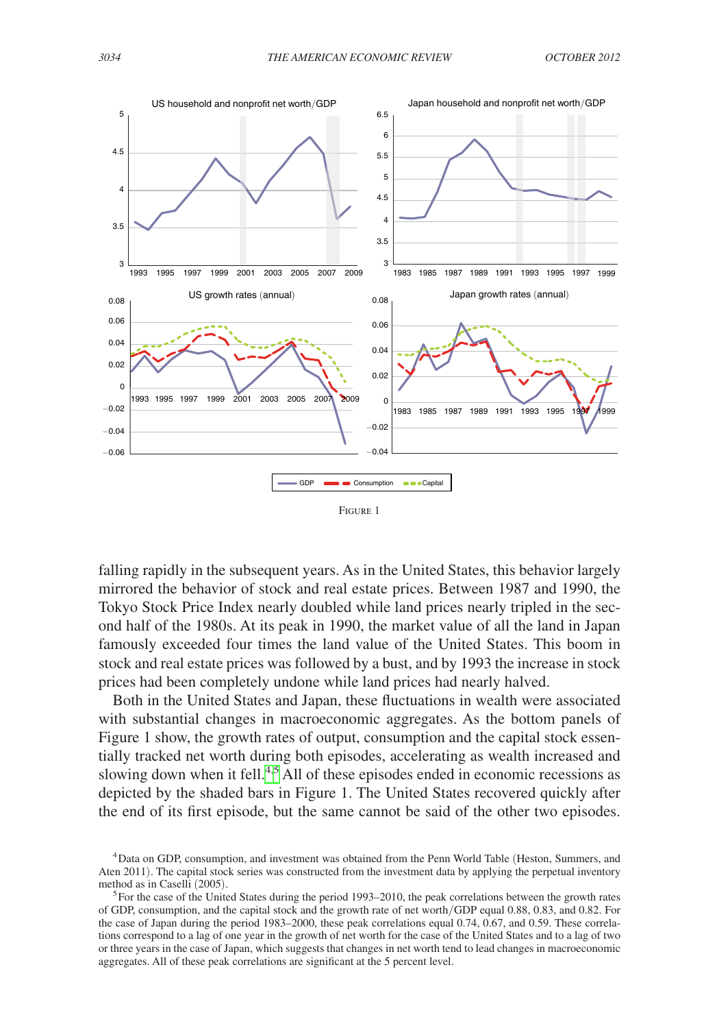<span id="page-1-0"></span>

falling rapidly in the subsequent years. As in the United States, this behavior largely mirrored the behavior of stock and real estate prices. Between 1987 and 1990, the Tokyo Stock Price Index nearly doubled while land prices nearly tripled in the second half of the 1980s. At its peak in 1990, the market value of all the land in Japan famously exceeded four times the land value of the United States. This boom in stock and real estate prices was followed by a bust, and by 1993 the increase in stock prices had been completely undone while land prices had nearly halved.

Both in the United States and Japan, these fluctuations in wealth were associated with substantial changes in macroeconomic aggregates. As the bottom panels of Figure 1 show, the growth rates of output, consumption and the capital stock essentially tracked net worth during both episodes, accelerating as wealth increased and slowing down when it fell.<sup>[4,](#page-1-1)[5](#page-1-2)</sup> All of these episodes ended in economic recessions as depicted by the shaded bars in Figure 1. The United States recovered quickly after the end of its first episode, but the same cannot be said of the other two episodes.

<span id="page-1-1"></span><sup>4</sup>Data on GDP, consumption, and investment was obtained from the Penn World Table (Heston, Summers, and Aten 2011). The capital stock series was constructed from the investment data by applying the perpetual inventory method as in Caselli (2005).

<span id="page-1-2"></span> $<sup>5</sup>$  For the case of the United States during the period 1993–2010, the peak correlations between the growth rates</sup> of GDP, consumption, and the capital stock and the growth rate of net worth/GDP equal 0.88, 0.83, and 0.82. For the case of Japan during the period 1983–2000, these peak correlations equal 0.74, 0.67, and 0.59. These correlations correspond to a lag of one year in the growth of net worth for the case of the United States and to a lag of two or three years in the case of Japan, which suggests that changes in net worth tend to lead changes in macroeconomic aggregates. All of these peak correlations are significant at the 5 percent level.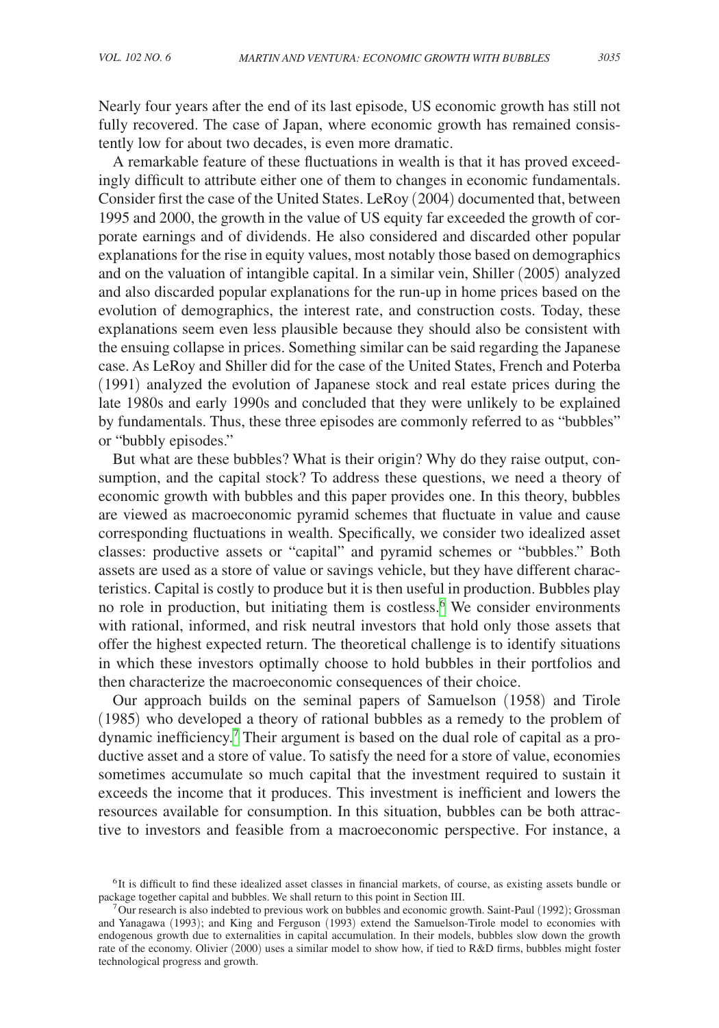Nearly four years after the end of its last episode, US economic growth has still not fully recovered. The case of Japan, where economic growth has remained consistently low for about two decades, is even more dramatic.

A remarkable feature of these fluctuations in wealth is that it has proved exceedingly difficult to attribute either one of them to changes in economic fundamentals. Consider first the case of the United States. LeRoy (2004) documented that, between 1995 and 2000, the growth in the value of US equity far exceeded the growth of corporate earnings and of dividends. He also considered and discarded other popular explanations for the rise in equity values, most notably those based on demographics and on the valuation of intangible capital. In a similar vein, Shiller (2005) analyzed and also discarded popular explanations for the run-up in home prices based on the evolution of demographics, the interest rate, and construction costs. Today, these explanations seem even less plausible because they should also be consistent with the ensuing collapse in prices. Something similar can be said regarding the Japanese case. As LeRoy and Shiller did for the case of the United States, French and Poterba (1991) analyzed the evolution of Japanese stock and real estate prices during the late 1980s and early 1990s and concluded that they were unlikely to be explained by fundamentals. Thus, these three episodes are commonly referred to as "bubbles" or "bubbly episodes."

But what are these bubbles? What is their origin? Why do they raise output, consumption, and the capital stock? To address these questions, we need a theory of economic growth with bubbles and this paper provides one. In this theory, bubbles are viewed as macroeconomic pyramid schemes that fluctuate in value and cause corresponding fluctuations in wealth. Specifically, we consider two idealized asset classes: productive assets or "capital" and pyramid schemes or "bubbles." Both assets are used as a store of value or savings vehicle, but they have different characteristics. Capital is costly to produce but it is then useful in production. Bubbles play no role in production, but initiating them is costless.<sup>[6](#page-2-0)</sup> We consider environments with rational, informed, and risk neutral investors that hold only those assets that offer the highest expected return. The theoretical challenge is to identify situations in which these investors optimally choose to hold bubbles in their portfolios and then characterize the macroeconomic consequences of their choice.

Our approach builds on the seminal papers of Samuelson (1958) and Tirole (1985) who developed a theory of rational bubbles as a remedy to the problem of dynamic inefficiency.<sup>7</sup> Their argument is based on the dual role of capital as a productive asset and a store of value. To satisfy the need for a store of value, economies sometimes accumulate so much capital that the investment required to sustain it exceeds the income that it produces. This investment is inefficient and lowers the resources available for consumption. In this situation, bubbles can be both attractive to investors and feasible from a macroeconomic perspective. For instance, a

<span id="page-2-0"></span><sup>6</sup> It is difficult to find these idealized asset classes in financial markets, of course, as existing assets bundle or package together capital and bubbles. We shall return to this point in Section III.<br><sup>7</sup>Our research is also indebted to previous work on bubbles and economic growth. Saint-Paul (1992); Grossman

<span id="page-2-1"></span>and Yanagawa (1993); and King and Ferguson (1993) extend the Samuelson-Tirole model to economies with endogenous growth due to externalities in capital accumulation. In their models, bubbles slow down the growth rate of the economy. Olivier (2000) uses a similar model to show how, if tied to R&D firms, bubbles might foster technological progress and growth.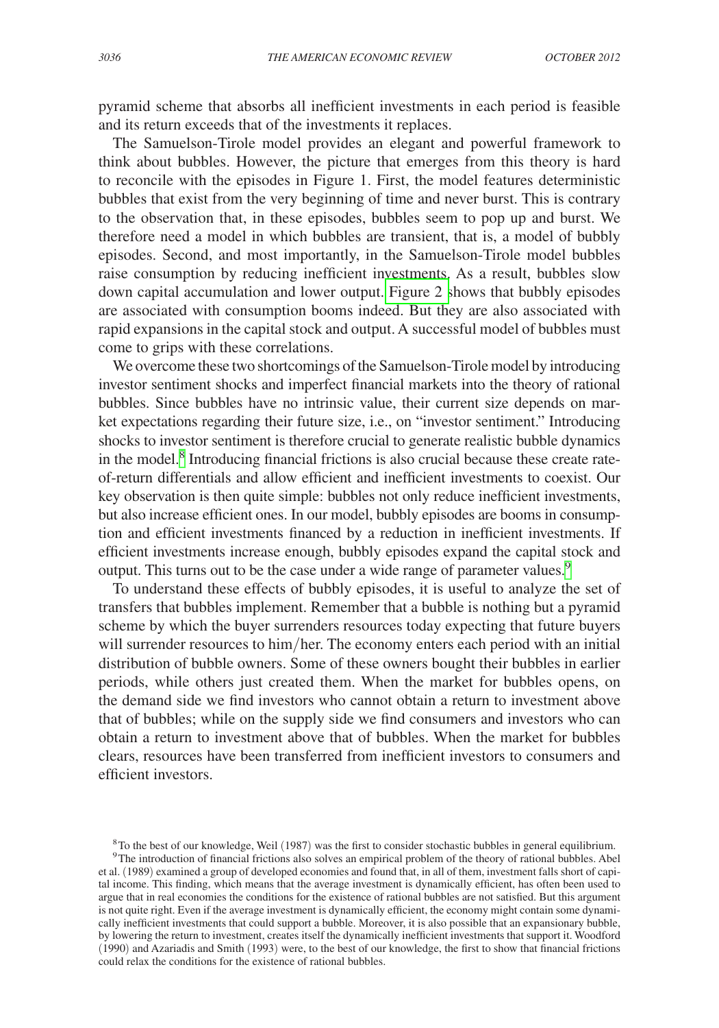pyramid scheme that absorbs all inefficient investments in each period is feasible and its return exceeds that of the investments it replaces.

The Samuelson-Tirole model provides an elegant and powerful framework to think about bubbles. However, the picture that emerges from this theory is hard to reconcile with the episodes in Figure 1. First, the model features deterministic bubbles that exist from the very beginning of time and never burst. This is contrary to the observation that, in these episodes, bubbles seem to pop up and burst. We therefore need a model in which bubbles are transient, that is, a model of bubbly episodes. Second, and most importantly, in the Samuelson-Tirole model bubbles raise consumption by reducing inefficient investments. As a result, bubbles slow down capital accumulation and lower output. [Figure 2 s](#page-11-0)hows that bubbly episodes are associated with consumption booms indeed. But they are also associated with rapid expansions in the capital stock and output. A successful model of bubbles must come to grips with these correlations.

We overcome these two shortcomings of the Samuelson-Tirole model by introducing investor sentiment shocks and imperfect financial markets into the theory of rational bubbles. Since bubbles have no intrinsic value, their current size depends on market expectations regarding their future size, i.e., on "investor sentiment." Introducing shocks to investor sentiment is therefore crucial to generate realistic bubble dynamics in the model.<sup>[8](#page-3-0)</sup> Introducing financial frictions is also crucial because these create rateof-return differentials and allow efficient and inefficient investments to coexist. Our key observation is then quite simple: bubbles not only reduce inefficient investments, but also increase efficient ones. In our model, bubbly episodes are booms in consumption and efficient investments financed by a reduction in inefficient investments. If efficient investments increase enough, bubbly episodes expand the capital stock and output. This turns out to be the case under a wide range of parameter values.<sup>9</sup>

To understand these effects of bubbly episodes, it is useful to analyze the set of transfers that bubbles implement. Remember that a bubble is nothing but a pyramid scheme by which the buyer surrenders resources today expecting that future buyers will surrender resources to him/her. The economy enters each period with an initial distribution of bubble owners. Some of these owners bought their bubbles in earlier periods, while others just created them. When the market for bubbles opens, on the demand side we find investors who cannot obtain a return to investment above that of bubbles; while on the supply side we find consumers and investors who can obtain a return to investment above that of bubbles. When the market for bubbles clears, resources have been transferred from inefficient investors to consumers and efficient investors.

<span id="page-3-1"></span><span id="page-3-0"></span> ${}^8$ To the best of our knowledge, Weil (1987) was the first to consider stochastic bubbles in general equilibrium.<br><sup>9</sup>The introduction of financial frictions also solves an empirical problem of the theory of rational bub

et al. (1989) examined a group of developed economies and found that, in all of them, investment falls short of capital income. This finding, which means that the average investment is dynamically efficient, has often been used to argue that in real economies the conditions for the existence of rational bubbles are not satisfied. But this argument is not quite right. Even if the average investment is dynamically efficient, the economy might contain some dynamically inefficient investments that could support a bubble. Moreover, it is also possible that an expansionary bubble, by lowering the return to investment, creates itself the dynamically inefficient investments that support it. Woodford (1990) and Azariadis and Smith (1993) were, to the best of our knowledge, the first to show that financial frictions could relax the conditions for the existence of rational bubbles.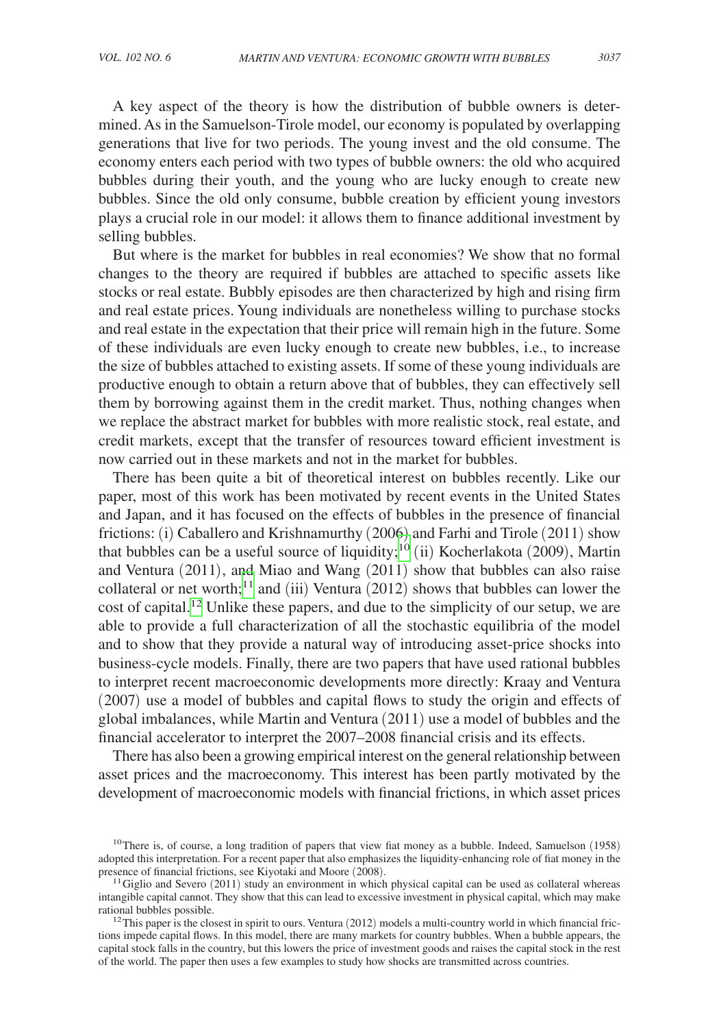A key aspect of the theory is how the distribution of bubble owners is determined. As in the Samuelson-Tirole model, our economy is populated by overlapping generations that live for two periods. The young invest and the old consume. The economy enters each period with two types of bubble owners: the old who acquired bubbles during their youth, and the young who are lucky enough to create new bubbles. Since the old only consume, bubble creation by efficient young investors plays a crucial role in our model: it allows them to finance additional investment by selling bubbles.

But where is the market for bubbles in real economies? We show that no formal changes to the theory are required if bubbles are attached to specific assets like stocks or real estate. Bubbly episodes are then characterized by high and rising firm and real estate prices. Young individuals are nonetheless willing to purchase stocks and real estate in the expectation that their price will remain high in the future. Some of these individuals are even lucky enough to create new bubbles, i.e., to increase the size of bubbles attached to existing assets. If some of these young individuals are productive enough to obtain a return above that of bubbles, they can effectively sell them by borrowing against them in the credit market. Thus, nothing changes when we replace the abstract market for bubbles with more realistic stock, real estate, and credit markets, except that the transfer of resources toward efficient investment is now carried out in these markets and not in the market for bubbles.

There has been quite a bit of theoretical interest on bubbles recently. Like our paper, most of this work has been motivated by recent events in the United States and Japan, and it has focused on the effects of bubbles in the presence of financial frictions: (i) Caballero and Krishnamurthy (2006) and Farhi and Tirole (2011) show that bubbles can be a useful source of liquidity;<sup>[10](#page-4-0)</sup> (ii) Kocherlakota (2009), Martin and Ventura (2011), and Miao and Wang (2011) show that bubbles can also raise collateral or net worth;<sup>[11](#page-4-1)</sup> and (iii) Ventura  $(2012)$  shows that bubbles can lower the cost of capital.[12](#page-4-2) Unlike these papers, and due to the simplicity of our setup, we are able to provide a full characterization of all the stochastic equilibria of the model and to show that they provide a natural way of introducing asset-price shocks into business-cycle models. Finally, there are two papers that have used rational bubbles to interpret recent macroeconomic developments more directly: Kraay and Ventura (2007) use a model of bubbles and capital flows to study the origin and effects of global imbalances, while Martin and Ventura (2011) use a model of bubbles and the financial accelerator to interpret the 2007–2008 financial crisis and its effects.

There has also been a growing empirical interest on the general relationship between asset prices and the macroeconomy. This interest has been partly motivated by the development of macroeconomic models with financial frictions, in which asset prices

<span id="page-4-0"></span> $10$ There is, of course, a long tradition of papers that view fiat money as a bubble. Indeed, Samuelson (1958) adopted this interpretation. For a recent paper that also emphasizes the liquidity-enhancing role of fiat money in the presence of financial frictions, see Kiyotaki and Moore (2008).

<span id="page-4-1"></span> $^{11}$  Giglio and Severo (2011) study an environment in which physical capital can be used as collateral whereas intangible capital cannot. They show that this can lead to excessive investment in physical capital, which may make

<span id="page-4-2"></span><sup>&</sup>lt;sup>12</sup>This paper is the closest in spirit to ours. Ventura (2012) models a multi-country world in which financial frictions impede capital flows. In this model, there are many markets for country bubbles. When a bubble appears, the capital stock falls in the country, but this lowers the price of investment goods and raises the capital stock in the rest of the world. The paper then uses a few examples to study how shocks are transmitted across countries.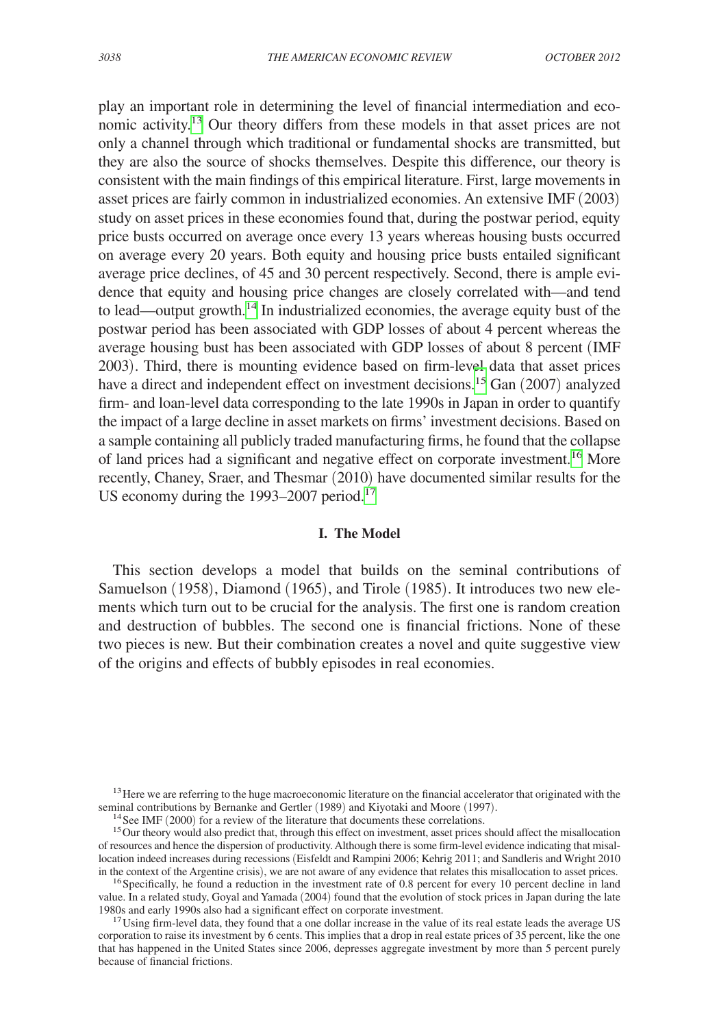play an important role in determining the level of financial intermediation and economic activity.<sup>13</sup> Our theory differs from these models in that asset prices are not only a channel through which traditional or fundamental shocks are transmitted, but they are also the source of shocks themselves. Despite this difference, our theory is consistent with the main findings of this empirical literature. First, large movements in asset prices are fairly common in industrialized economies. An extensive IMF (2003) study on asset prices in these economies found that, during the postwar period, equity price busts occurred on average once every 13 years whereas housing busts occurred on average every 20 years. Both equity and housing price busts entailed significant average price declines, of 45 and 30 percent respectively. Second, there is ample evidence that equity and housing price changes are closely correlated with—and tend to lead—output growth.<sup>14</sup> In industrialized economies, the average equity bust of the postwar period has been associated with GDP losses of about 4 percent whereas the average housing bust has been associated with GDP losses of about 8 percent (IMF 2003). Third, there is mounting evidence based on firm-level data that asset prices have a direct and independent effect on investment decisions.<sup>15</sup> Gan (2007) analyzed firm- and loan-level data corresponding to the late 1990s in Japan in order to quantify the impact of a large decline in asset markets on firms' investment decisions. Based on a sample containing all publicly traded manufacturing firms, he found that the collapse of land prices had a significant and negative effect on corporate investment.<sup>16</sup> More recently, Chaney, Sraer, and Thesmar (2010) have documented similar results for the US economy during the  $1993-2007$  period.<sup>17</sup>

#### **I. The Model**

This section develops a model that builds on the seminal contributions of Samuelson (1958), Diamond (1965), and Tirole (1985). It introduces two new elements which turn out to be crucial for the analysis. The first one is random creation and destruction of bubbles. The second one is financial frictions. None of these two pieces is new. But their combination creates a novel and quite suggestive view of the origins and effects of bubbly episodes in real economies.

<span id="page-5-0"></span><sup>&</sup>lt;sup>13</sup>Here we are referring to the huge macroeconomic literature on the financial accelerator that originated with the seminal contributions by Bernanke and Gertler (1989) and Kiyotaki and Moore (1997).

<span id="page-5-2"></span><span id="page-5-1"></span>

<sup>&</sup>lt;sup>14</sup> See IMF (2000) for a review of the literature that documents these correlations.<br><sup>15</sup> Our theory would also predict that, through this effect on investment, asset prices should affect the misallocation of resources and hence the dispersion of productivity. Although there is some firm-level evidence indicating that misallocation indeed increases during recessions (Eisfeldt and Rampini 2006; Kehrig 2011; and Sandleris and Wright 2010 in the context of the Argentine crisis), we are not aware of any evidence that relates this misallocation t

<span id="page-5-3"></span><sup>&</sup>lt;sup>16</sup> Specifically, he found a reduction in the investment rate of 0.8 percent for every 10 percent decline in land value. In a related study, Goyal and Yamada (2004) found that the evolution of stock prices in Japan during the late

<span id="page-5-4"></span><sup>&</sup>lt;sup>17</sup> Using firm-level data, they found that a one dollar increase in the value of its real estate leads the average US corporation to raise its investment by 6 cents. This implies that a drop in real estate prices of 35 percent, like the one that has happened in the United States since 2006, depresses aggregate investment by more than 5 percent purely because of financial frictions.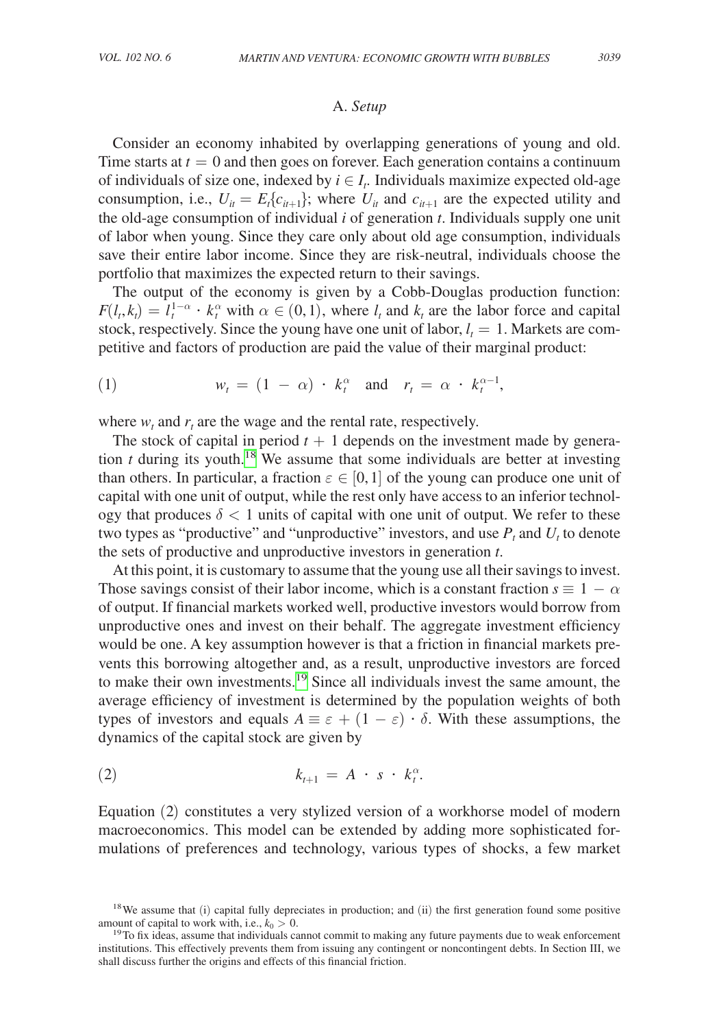## A. *Setup*

Consider an economy inhabited by overlapping generations of young and old. Time starts at  $t = 0$  and then goes on forever. Each generation contains a continuum of individuals of size one, indexed by  $i \in I_t$ . Individuals maximize expected old-age consumption, i.e.,  $U_{it} = E_t \{c_{it+1}\}\;$ ; where  $U_{it}$  and  $c_{it+1}$  are the expected utility and the old-age consumption of individual *i* of generation *t*. Individuals supply one unit of labor when young. Since they care only about old age consumption, individuals save their entire labor income. Since they are risk-neutral, individuals choose the portfolio that maximizes the expected return to their savings.

The output of the economy is given by a Cobb-Douglas production function:  $F(l_t, k_t) = l_t^{1-\alpha} \cdot k_t^{\alpha}$  with  $\alpha \in (0, 1)$ , where  $l_t$  and  $k_t$  are the labor force and capital stock, respectively. Since the young have one unit of labor,  $l_t = 1$ . Markets are competitive and factors of production are paid the value of their marginal product:

(1) 
$$
w_t = (1 - \alpha) \cdot k_t^{\alpha} \text{ and } r_t = \alpha \cdot k_t^{\alpha - 1},
$$

where  $w_t$  and  $r_t$  are the wage and the rental rate, respectively.

The stock of capital in period  $t + 1$  depends on the investment made by generation  $t$  during its youth.<sup>18</sup> We assume that some individuals are better at investing than others. In particular, a fraction  $\varepsilon \in [0,1]$  of the young can produce one unit of capital with one unit of output, while the rest only have access to an inferior technology that produces  $\delta$  < 1 units of capital with one unit of output. We refer to these two types as "productive" and "unproductive" investors, and use  $P_t$  and  $U_t$  to denote the sets of productive and unproductive investors in generation *t*.

At this point, it is customary to assume that the young use all their savings to invest. Those savings consist of their labor income, which is a constant fraction  $s \equiv 1 - \alpha$ of output. If financial markets worked well, productive investors would borrow from unproductive ones and invest on their behalf. The aggregate investment efficiency would be one. A key assumption however is that a friction in financial markets prevents this borrowing altogether and, as a result, unproductive investors are forced to make their own investments.[19](#page-6-1) Since all individuals invest the same amount, the average efficiency of investment is determined by the population weights of both types of investors and equals  $A \equiv \varepsilon + (1 - \varepsilon) \cdot \delta$ . With these assumptions, the dynamics of the capital stock are given by

$$
(2) \t\t k_{t+1} = A \cdot s \cdot k_t^{\alpha}.
$$

Equation (2) constitutes a very stylized version of a workhorse model of modern macroeconomics. This model can be extended by adding more sophisticated formulations of preferences and technology, various types of shocks, a few market

<span id="page-6-0"></span><sup>&</sup>lt;sup>18</sup>We assume that (i) capital fully depreciates in production; and (ii) the first generation found some positive amount of capital to work with, i.e.,  $k_0 > 0$ .

<span id="page-6-1"></span><sup>&</sup>lt;sup>19</sup>To fix ideas, assume that individuals cannot commit to making any future payments due to weak enforcement institutions. This effectively prevents them from issuing any contingent or noncontingent debts. In Section III, we shall discuss further the origins and effects of this financial friction.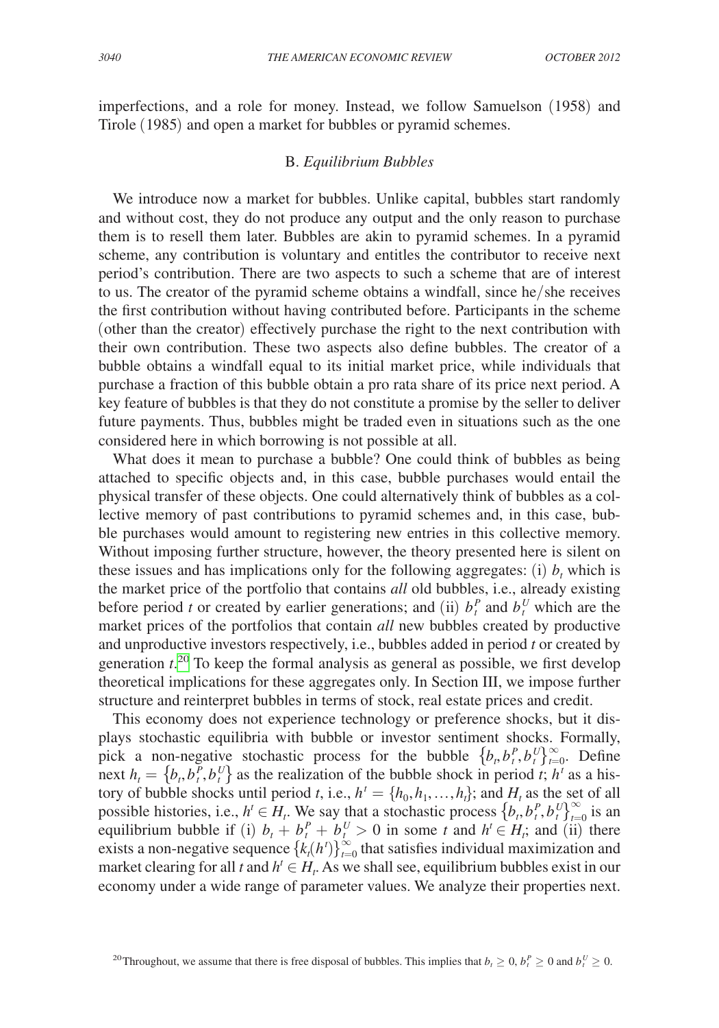imperfections, and a role for money. Instead, we follow Samuelson (1958) and Tirole (1985) and open a market for bubbles or pyramid schemes.

## B. *Equilibrium Bubbles*

We introduce now a market for bubbles. Unlike capital, bubbles start randomly and without cost, they do not produce any output and the only reason to purchase them is to resell them later. Bubbles are akin to pyramid schemes. In a pyramid scheme, any contribution is voluntary and entitles the contributor to receive next period's contribution. There are two aspects to such a scheme that are of interest to us. The creator of the pyramid scheme obtains a windfall, since he/she receives the first contribution without having contributed before. Participants in the scheme (other than the creator) effectively purchase the right to the next contribution with their own contribution. These two aspects also define bubbles. The creator of a bubble obtains a windfall equal to its initial market price, while individuals that purchase a fraction of this bubble obtain a pro rata share of its price next period. A key feature of bubbles is that they do not constitute a promise by the seller to deliver future payments. Thus, bubbles might be traded even in situations such as the one considered here in which borrowing is not possible at all.

What does it mean to purchase a bubble? One could think of bubbles as being attached to specific objects and, in this case, bubble purchases would entail the physical transfer of these objects. One could alternatively think of bubbles as a collective memory of past contributions to pyramid schemes and, in this case, bubble purchases would amount to registering new entries in this collective memory. Without imposing further structure, however, the theory presented here is silent on these issues and has implications only for the following aggregates: (i)  $b_t$  which is the market price of the portfolio that contains *all* old bubbles, i.e., already existing before period *t* or created by earlier generations; and (ii)  $b_t^p$  and  $b_t^U$  which are the market prices of the portfolios that contain *all* new bubbles created by productive and unproductive investors respectively, i.e., bubbles added in period *t* or created by generation *t*. [20](#page-7-0) To keep the formal analysis as general as possible, we first develop theoretical implications for these aggregates only. In Section III, we impose further structure and reinterpret bubbles in terms of stock, real estate prices and credit.

This economy does not experience technology or preference shocks, but it displays stochastic equilibria with bubble or investor sentiment shocks. Formally, pick a non-negative stochastic process for the bubble  ${b_t, b_t^P, b_t^U}_{t=0}^{\infty}$ . Define next  $h_t = \{b_t, b_t^P, b_t^U\}$  as the realization of the bubble shock in period *t*;  $h^t$  as a history of bubble shocks until period *t*, i.e.,  $h^t = \{h_0, h_1, \ldots, h_t\}$ ; and  $H_t$  as the set of all possible histories, i.e.,  $h^t \in H_t$ . We say that a stochastic process  $\{b_t, b_t^p, b_t^v\}_{t=0}^{\infty}$  is an equilibrium bubble if (i)  $b_t + b_t^P + b_t^U > 0$  in some *t* and  $h^t \in H_t$ ; and (ii) there exists a non-negative sequence  ${k<sub>t</sub>(h<sup>t</sup>)}<sub>t=0</sub><sup>\infty</sup>$  that satisfies individual maximization and market clearing for all *t* and  $h^t \in H_t$ . As we shall see, equilibrium bubbles exist in our economy under a wide range of parameter values. We analyze their properties next.

<span id="page-7-0"></span><sup>&</sup>lt;sup>20</sup> Throughout, we assume that there is free disposal of bubbles. This implies that  $b_t \geq 0$ ,  $b_t^P \geq 0$  and  $b_t^U \geq 0$ .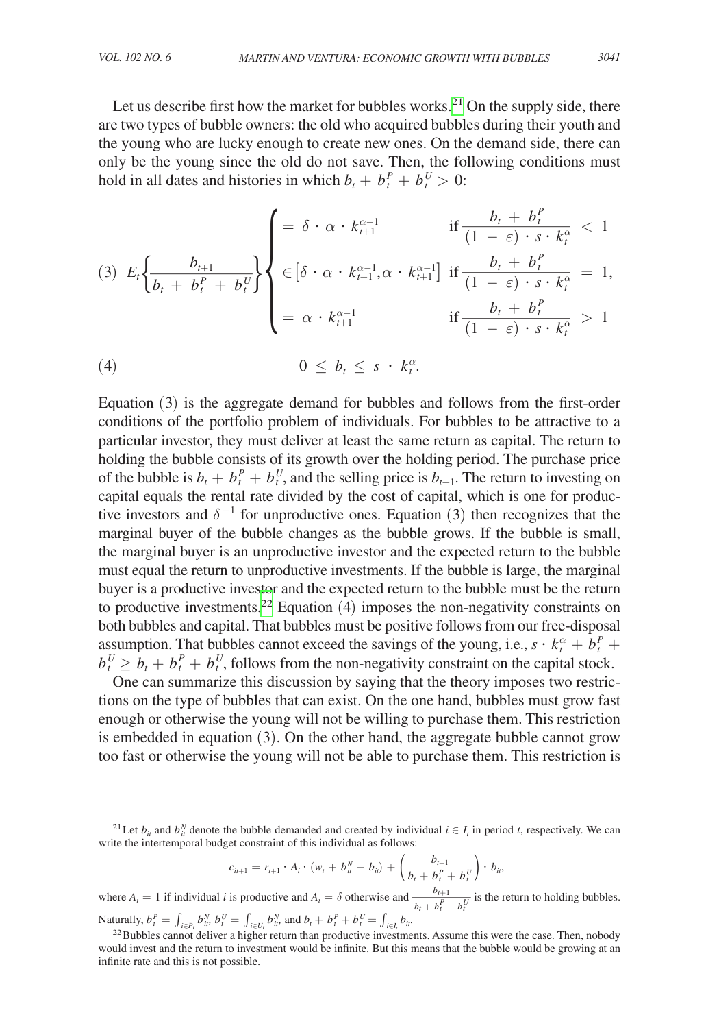Let us describe first how the market for bubbles works.<sup>21</sup> On the supply side, there are two types of bubble owners: the old who acquired bubbles during their youth and the young who are lucky enough to create new ones. On the demand side, there can only be the young since the old do not save. Then, the following conditions must

hold in all dates and histories in which 
$$
b_t + b_t^P + b_t^U > 0
$$
:  
\n
$$
\begin{cases}\n\left(3\right) \ E_t \left\{\frac{b_{t+1}}{b_t + b_t^P + b_t^U}\right\} \\
\left\{\frac{b_{t+1}}{b_t + b_t^P + b_t^U}\right\} \\
\left\{\frac{b_t + b_t^P}{\left(1 - \varepsilon\right) \cdot s \cdot k_t^{\alpha}}\right\} \\
= \alpha \cdot k_{t+1}^{\alpha - 1} \n\end{cases} \quad \text{if } \frac{b_t + b_t^P}{\left(1 - \varepsilon\right) \cdot s \cdot k_t^{\alpha}} = 1,
$$

$$
(4) \t\t\t 0 \leq b_t \leq s \cdot k_t^{\alpha}.
$$

Equation (3) is the aggregate demand for bubbles and follows from the first-order conditions of the portfolio problem of individuals. For bubbles to be attractive to a particular investor, they must deliver at least the same return as capital. The return to holding the bubble consists of its growth over the holding period. The purchase price of the bubble is  $b_t + b_t^p + b_t^v$ , and the selling price is  $b_{t+1}$ . The return to investing on capital equals the rental rate divided by the cost of capital, which is one for productive investors and  $\delta^{-1}$  for unproductive ones. Equation (3) then recognizes that the marginal buyer of the bubble changes as the bubble grows. If the bubble is small, the marginal buyer is an unproductive investor and the expected return to the bubble must equal the return to unproductive investments. If the bubble is large, the marginal buyer is a productive investor and the expected return to the bubble must be the return to productive investments.<sup>22</sup> Equation  $(4)$  imposes the non-negativity constraints on both bubbles and capital. That bubbles must be positive follows from our free-disposal assumption. That bubbles cannot exceed the savings of the young, i.e.,  $s \cdot k_t^{\alpha} + b_t^P$  $b_t^U \ge b_t + b_t^P + b_t^U$ , follows from the non-negativity constraint on the capital stock.

One can summarize this discussion by saying that the theory imposes two restrictions on the type of bubbles that can exist. On the one hand, bubbles must grow fast enough or otherwise the young will not be willing to purchase them. This restriction is embedded in equation (3). On the other hand, the aggregate bubble cannot grow too fast or otherwise the young will not be able to purchase them. This restriction is

<span id="page-8-0"></span><sup>21</sup>Let  $b_i$  and  $b_i^N$  denote the bubble demanded and created by individual  $i \in I_i$  in period *t*, respectively. We can write the intertemporal budget constraint of this individual as follows:

$$
c_{it+1} = r_{t+1} \cdot A_i \cdot (w_t + b_{it}^N - b_{it}) + \left(\frac{b_{t+1}}{b_t + b_t^P + b_{it}^U}\right) \cdot b_{it},
$$

*N* write the intertemporal budget constraint of this individual as follows:<br>  $c_{it+1} = r_{t+1} \cdot A_i \cdot (w_t + b_u^N - b_u) + \left(\frac{b_{t+1}}{b_t + b_t^P + b_t^V}\right) \cdot$ <br>
where  $A_i = 1$  if individual *i* is productive and  $A_i = \delta$  otherwise and  $\frac{b_{$  $b_t + b_t + b_t^T$  is the return to holding bubbles.<br>  $b_t + b_t^P + b_t^U$  is the return to holding bubbles. Naturally,  $b_t^P = \int_{i \in P_t} b_{it}^N, b_t^U = \int_{i \in U_t} b_{it}^N$  and  $b_t + b_t^P + b_t^U = \int_{i \in I_t} b_{it}$ .

<span id="page-8-1"></span><sup>22</sup>Bubbles cannot deliver a higher return than productive investments. Assume this were the case. Then, nobody would invest and the return to investment would be infinite. But this means that the bubble would be growing at an infinite rate and this is not possible.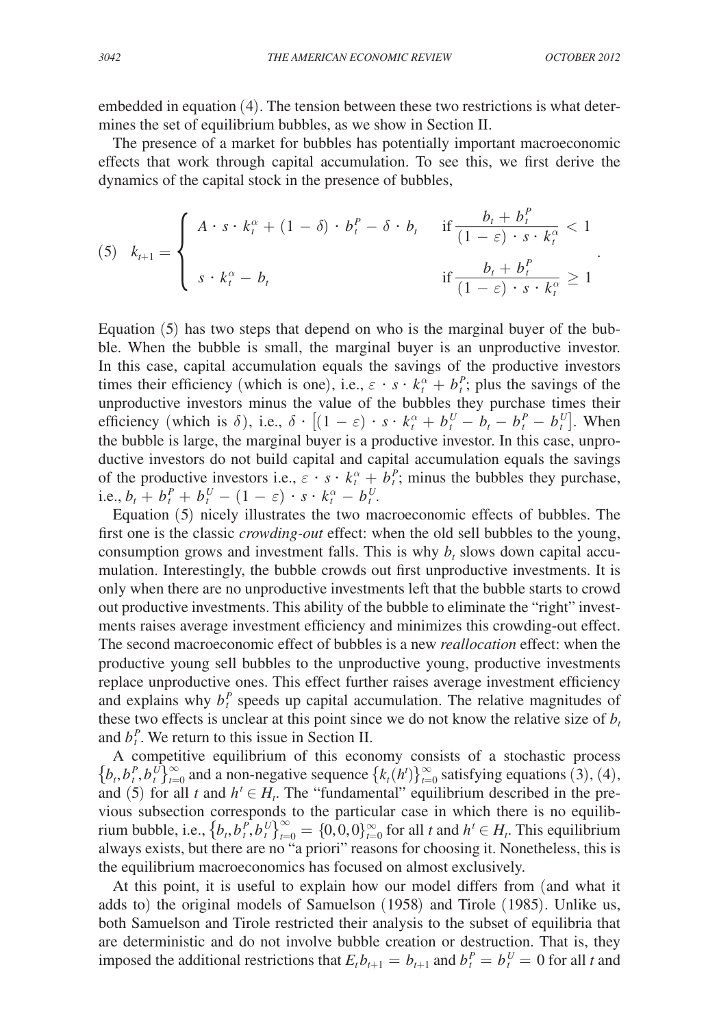embedded in equation (4). The tension between these two restrictions is what determines the set of equilibrium bubbles, as we show in Section II.

The presence of a market for bubbles has potentially important macroeconomic effects that work through capital accumulation. To see this, we first derive the dynamics of the capital stock in the presence of bubbles,

dynamics of the capital stock in the presence of bubbles,  
\n(5) 
$$
k_{t+1} = \begin{cases}\nA \cdot s \cdot k_t^{\alpha} + (1 - \delta) \cdot b_t^P - \delta \cdot b_t & \text{if } \frac{b_t + b_t^P}{(1 - \varepsilon) \cdot s \cdot k_t^{\alpha}} < 1 \\
s \cdot k_t^{\alpha} - b_t & \text{if } \frac{b_t + b_t^P}{(1 - \varepsilon) \cdot s \cdot k_t^{\alpha}} \ge 1\n\end{cases}
$$

Equation (5) has two steps that depend on who is the marginal buyer of the bubble. When the bubble is small, the marginal buyer is an unproductive investor. In this case, capital accumulation equals the savings of the productive investors times their efficiency (which is one), i.e.,  $\varepsilon \cdot s \cdot k_t^{\alpha} + b_t^{\rho}$ ; plus the savings of the unproductive investors minus the value of the bubbles they purchase times their efficiency (which is  $\delta$ ), i.e.,  $\delta \cdot [(1 - \varepsilon) \cdot s \cdot k_t^{\alpha} + b_t^U - b_t - b_t^P - b_t^U]$ . When the bubble is large, the marginal buyer is a productive investor. In this case, unproductive investors do not build capital and capital accumulation equals the savings of the productive investors i.e.,  $\varepsilon \cdot s \cdot k_t^{\alpha} + b_t^P$ ; minus the bubbles they purchase, i.e.,  $b_t + b_t^P + b_t^U - (1 - \varepsilon) \cdot s \cdot k_t^{\alpha} - b_t^U$ .

Equation (5) nicely illustrates the two macroeconomic effects of bubbles. The first one is the classic *crowding-out* effect: when the old sell bubbles to the young, consumption grows and investment falls. This is why  $b_t$  slows down capital accumulation. Interestingly, the bubble crowds out first unproductive investments. It is only when there are no unproductive investments left that the bubble starts to crowd out productive investments. This ability of the bubble to eliminate the "right" investments raises average investment efficiency and minimizes this crowding-out effect. The second macroeconomic effect of bubbles is a new *reallocation* effect: when the productive young sell bubbles to the unproductive young, productive investments replace unproductive ones. This effect further raises average investment efficiency and explains why  $b_t^P$  speeds up capital accumulation. The relative magnitudes of these two effects is unclear at this point since we do not know the relative size of  $b_t$ and  $b_t^P$ . We return to this issue in Section II.

A competitive equilibrium of this economy consists of a stochastic process  ${b_t, b_t^P, b_t^U}_{t=0}^{\infty}$  and a non-negative sequence  ${k_t(h')}_{t=0}^{\infty}$  satisfying equations (3), (4), and (5) for all *t* and  $h^t \in H_t$ . The "fundamental" equilibrium described in the previous subsection corresponds to the particular case in which there is no equilibrium bubble, i.e.,  $\{b_t, b_t^P, b_t^U\}_{t=0}^{\infty} = \{0, 0, 0\}_{t=0}^{\infty}$  for all *t* and  $h^t \in H_t$ . This equilibrium always exists, but there are no "a priori" reasons for choosing it. Nonetheless, this is the equilibrium macroeconomics has focused on almost exclusively.

At this point, it is useful to explain how our model differs from (and what it adds to) the original models of Samuelson (1958) and Tirole (1985). Unlike us, both Samuelson and Tirole restricted their analysis to the subset of equilibria that are deterministic and do not involve bubble creation or destruction. That is, they imposed the additional restrictions that  $E_t b_{t+1} = b_{t+1}$  and  $b_t^P = b_t^U = 0$  for all *t* and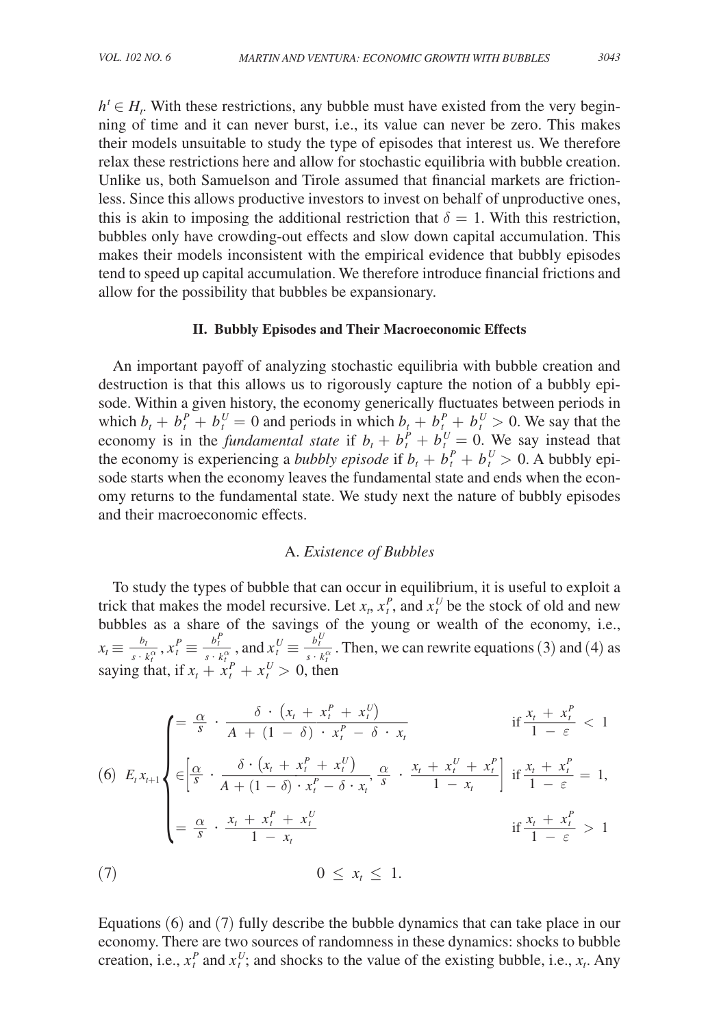$h^t \in H_t$ . With these restrictions, any bubble must have existed from the very beginning of time and it can never burst, i.e., its value can never be zero. This makes their models unsuitable to study the type of episodes that interest us. We therefore relax these restrictions here and allow for stochastic equilibria with bubble creation. Unlike us, both Samuelson and Tirole assumed that financial markets are frictionless. Since this allows productive investors to invest on behalf of unproductive ones, this is akin to imposing the additional restriction that  $\delta = 1$ . With this restriction, bubbles only have crowding-out effects and slow down capital accumulation. This makes their models inconsistent with the empirical evidence that bubbly episodes tend to speed up capital accumulation. We therefore introduce financial frictions and allow for the possibility that bubbles be expansionary.

#### **II. Bubbly Episodes and Their Macroeconomic Effects**

An important payoff of analyzing stochastic equilibria with bubble creation and destruction is that this allows us to rigorously capture the notion of a bubbly episode. Within a given history, the economy generically fluctuates between periods in which  $b_t + b_t^P + b_t^U = 0$  and periods in which  $b_t + b_t^P + b_t^U > 0$ . We say that the economy is in the *fundamental state* if  $b_t + b_t^P + b_t^U = 0$ . We say instead that the economy is experiencing a *bubbly episode* if  $b_t + b_t^p + b_t^v > 0$ . A bubbly episode starts when the economy leaves the fundamental state and ends when the economy returns to the fundamental state. We study next the nature of bubbly episodes and their macroeconomic effects.

## A. *Existence of Bubbles*

To study the types of bubble that can occur in equilibrium, it is useful to exploit a trick that makes the model recursive. Let  $x_t$ ,  $x_t^P$ , and  $x_t^U$  be the stock of old and new bubbles as a share of the savings of the young or wealth of the economy, i.e.,  $x_t \equiv \frac{b_t}{s \cdot k_t^{\alpha}}$ ,  $x_t^P \equiv \frac{b_t^P}{s \cdot k_t^{\alpha}}$ , and  $x_t^U \equiv \frac{b_t^U}{s \cdot k_t^{\alpha}}$ . Then, we can rewrite equations (3) and (4) as *P* are of the savings of  $\frac{b_t^P}{s \cdot k_t^{\alpha}}$ , and  $x_t^U \equiv \frac{b_t^U}{s \cdot k_t^{\alpha}}$ *U*  $\frac{v_t}{s \cdot k_t^{\alpha}}$ . Then, we can rewrite equations (3) and (4) as saying that, if  $x_t + x_t^P + x_t^U > 0$ , then

<sup>=</sup> \_ α *<sup>s</sup>* · <sup>δ</sup> · (*xt* <sup>+</sup> *xt <sup>P</sup>* + *xt <sup>U</sup>*) \_\_ *<sup>A</sup>* <sup>+</sup> (<sup>1</sup> <sup>−</sup> <sup>δ</sup> ) · *xt <sup>P</sup>* − δ · *xt* if *xt* <sup>+</sup> *xt* \_ *P* 1 − ε < 1 (6) *Et xt*+1 { ∈[ \_ α *<sup>s</sup>* · <sup>δ</sup> · (*xt* <sup>+</sup> *xt <sup>P</sup>* + *xt <sup>U</sup>*) \_\_ *<sup>A</sup>* <sup>+</sup> (<sup>1</sup> <sup>−</sup> δ) · *xt <sup>P</sup>* − δ · *xt* , \_ α *s* · *xt* <sup>+</sup> *xt <sup>U</sup>* + *xt P* \_1 − *xt* ] if *xt* <sup>+</sup> *xt* \_ *P* <sup>1</sup> <sup>−</sup> <sup>ε</sup> <sup>=</sup> 1, = \_ α *s* · *xt* <sup>+</sup> *xt <sup>P</sup>* + *xt U* \_1 − *xt* if *xt* <sup>+</sup> *xt* \_ *P* 1 − ε > 1 (7) 0 ≤ *xt* ≤ 1.

Equations (6) and (7) fully describe the bubble dynamics that can take place in our economy. There are two sources of randomness in these dynamics: shocks to bubble creation, i.e.,  $x_t^P$  and  $x_t^U$ ; and shocks to the value of the existing bubble, i.e.,  $x_t$ . Any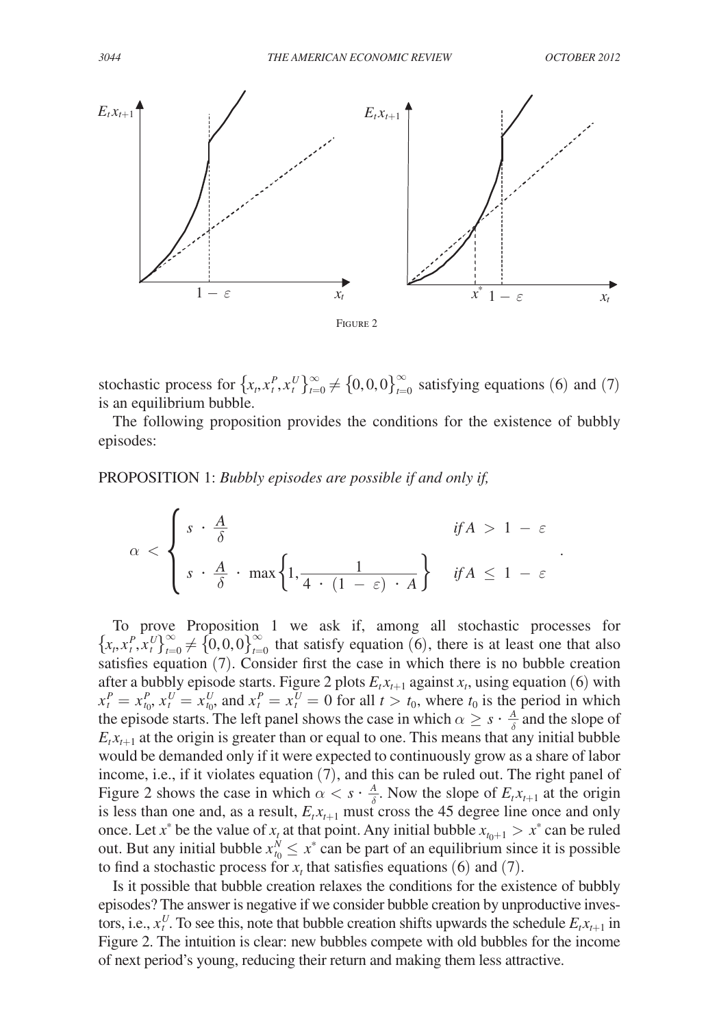.

<span id="page-11-0"></span>

stochastic process for  $\{x_i, x_i^P, x_i^U\}_{i=0}^{\infty} \neq \{0,0,0\}_{i=0}^{\infty}$  satisfying equations (6) and (7) is an equilibrium bubble.

The following proposition provides the conditions for the existence of bubbly episodes:

Proposition 1: *Bubbly episodes are possible if and only if,*

$$
\alpha < \begin{cases} s & \frac{A}{\delta} & \text{if } A > 1 - \varepsilon \\ s & \frac{A}{\delta} \cdot \max\left\{1, \frac{1}{4 \cdot (1 - \varepsilon) \cdot A}\right\} & \text{if } A \le 1 - \varepsilon \end{cases}
$$

To prove Proposition 1 we ask if, among all stochastic processes for  ${x<sub>t</sub>, x<sub>t</sub><sup>P</sup>, x<sub>t</sub><sup>U</sup>}_{t=0}^{\infty} \neq \{0,0,0\}_{t=0}^{\infty}$  that satisfy equation (6), there is at least one that also satisfies equation (7). Consider first the case in which there is no bubble creation after a bubbly episode starts. Figure 2 plots  $E_t x_{t+1}$  against  $x_t$ , using equation (6) with  $x_t^P = x_{t_0}^P$ ,  $x_t^U = x_{t_0}^U$ , and  $x_t^P = x_t^U = 0$  for all  $t > t_0$ , where  $t_0$  is the period in which the episode starts. The left panel shows the case in which  $\alpha \geq s \cdot \frac{A}{\delta}$  and the slope of  $E_t x_{t+1}$  at the origin is greater than or equal to one. This means that any initial bubble would be demanded only if it were expected to continuously grow as a share of labor income, i.e., if it violates equation (7), and this can be ruled out. The right panel of Figure 2 shows the case in which  $\alpha < s \cdot \frac{A}{\delta}$ . Now the slope of  $E_t x_{t+1}$  at the origin is less than one and, as a result,  $E_t x_{t+1}$  must cross the 45 degree line once and only once. Let *x*<sup>\*</sup> be the value of  $x<sub>t</sub>$  at that point. Any initial bubble  $x<sub>t</sub><sub>0+1</sub> > x<sup>*</sup>$  can be ruled out. But any initial bubble  $x_{t_0}^N \leq x^*$  can be part of an equilibrium since it is possible to find a stochastic process for  $x_t$  that satisfies equations (6) and (7).

Is it possible that bubble creation relaxes the conditions for the existence of bubbly episodes? The answer is negative if we consider bubble creation by unproductive investors, i.e.,  $x_t^U$ . To see this, note that bubble creation shifts upwards the schedule  $E_t x_{t+1}$  in Figure 2. The intuition is clear: new bubbles compete with old bubbles for the income of next period's young, reducing their return and making them less attractive.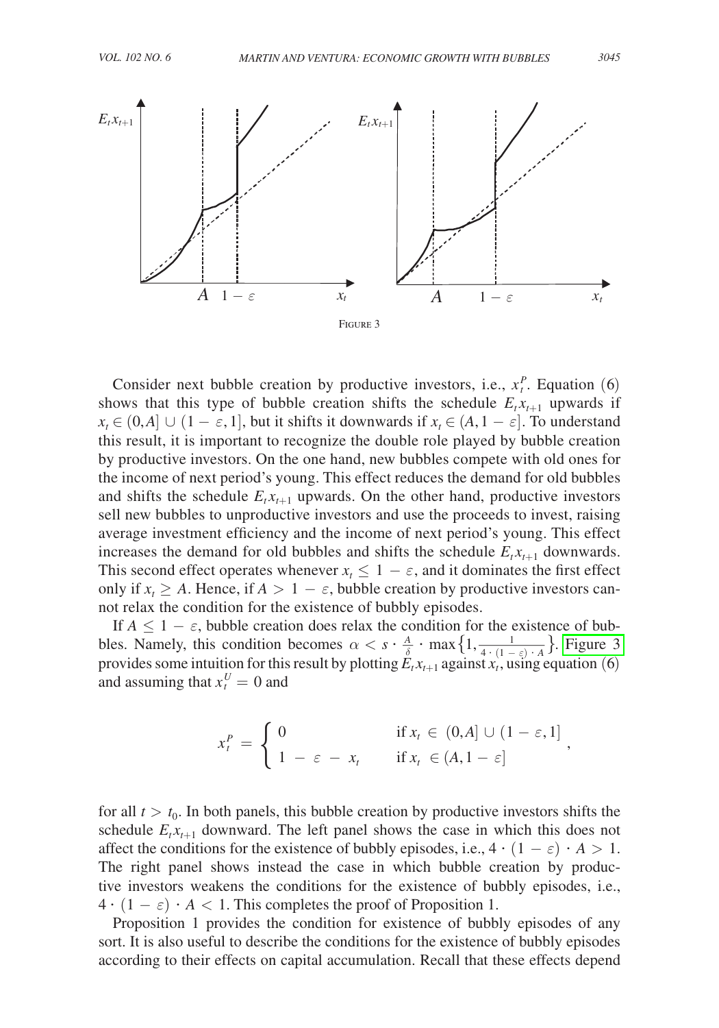

Consider next bubble creation by productive investors, i.e.,  $x_t^P$ . Equation (6) shows that this type of bubble creation shifts the schedule  $E_t x_{t+1}$  upwards if  $x_t \in (0,A] \cup (1-\varepsilon,1]$ , but it shifts it downwards if  $x_t \in (A, 1-\varepsilon]$ . To understand this result, it is important to recognize the double role played by bubble creation by productive investors. On the one hand, new bubbles compete with old ones for the income of next period's young. This effect reduces the demand for old bubbles and shifts the schedule  $E_t x_{t+1}$  upwards. On the other hand, productive investors sell new bubbles to unproductive investors and use the proceeds to invest, raising average investment efficiency and the income of next period's young. This effect increases the demand for old bubbles and shifts the schedule  $E_t x_{t+1}$  downwards. This second effect operates whenever  $x_t \leq 1 - \varepsilon$ , and it dominates the first effect only if  $x_t \geq A$ . Hence, if  $A > 1 - \varepsilon$ , bubble creation by productive investors cannot relax the condition for the existence of bubbly episodes.

If  $A \leq 1 - \varepsilon$ , bubble creation does relax the condition for the existence of bubbles. Namely, this condition becomes  $\alpha < s \cdot \frac{A}{\delta} \cdot \max\left\{1, \frac{1}{4 \cdot (1-\epsilon) \cdot A}\right\}$ . Figure 3 oductive in<br>  $\frac{1}{4 \cdot (1-\epsilon) \cdot A}$ <br>  $\frac{4 \cdot (1-\epsilon) \cdot A}{4 \cdot x_t}$ , using provides some intuition for this result by plotting  $E_t x_{t+1}$  against  $x_t$ , using equation (6) and assuming that  $x_t^U = 0$  and

$$
x_t^P = \begin{cases} 0 & \text{if } x_t \in (0,A] \cup (1-\varepsilon,1] \\ 1-\varepsilon - x_t & \text{if } x_t \in (A,1-\varepsilon] \end{cases}
$$

for all  $t > t_0$ . In both panels, this bubble creation by productive investors shifts the schedule  $E_t x_{t+1}$  downward. The left panel shows the case in which this does not affect the conditions for the existence of bubbly episodes, i.e.,  $4 \cdot (1 - \varepsilon) \cdot A > 1$ . The right panel shows instead the case in which bubble creation by productive investors weakens the conditions for the existence of bubbly episodes, i.e.,  $4 \cdot (1 - \varepsilon) \cdot A < 1$ . This completes the proof of Proposition 1.

Proposition 1 provides the condition for existence of bubbly episodes of any sort. It is also useful to describe the conditions for the existence of bubbly episodes according to their effects on capital accumulation. Recall that these effects depend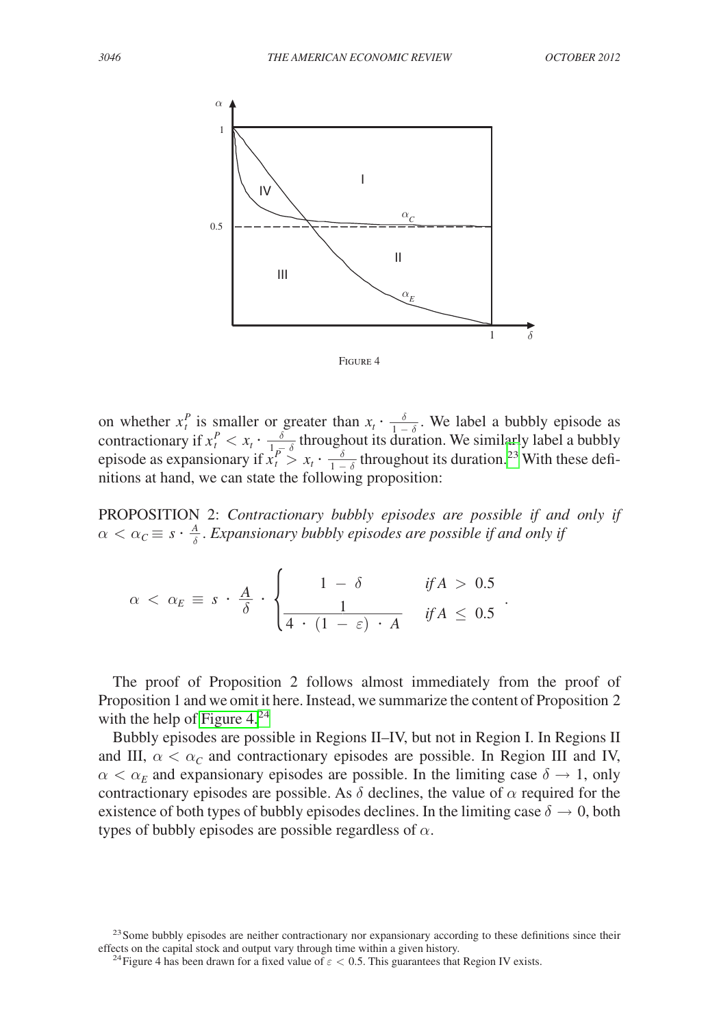

on whether  $x_t^P$ is smaller or greater than  $x_t \cdot \frac{\delta}{1-\delta}$ . We label a bubbly episode as if  $x^P \leq x$ ,  $\delta$  throughout its duration. We similarly label a bubbly on whether  $x_t^P$  is smaller or greater than  $x_t \cdot \frac{\delta}{1-\delta}$ . We label a bubbly episode as contractionary if  $x_t^P < x_t \cdot \frac{\delta}{1-\delta}$  throughout its duration. We similarly label a bubbly episode as expansionary if  $x_t^P \le x_t \cdot$ contractionary if  $x_t^P < x_t \cdot \frac{\delta}{1 - \delta}$  throughout its duration. We similarly label a bubbly<br>episode as expansionary if  $x_t^P > x_t \cdot \frac{\delta}{1 - \delta}$  throughout its duration.<sup>23</sup> With these defi-<br>pitions at hand, we can state the nitions at hand, we can state the following proposition:

Proposition 2: *Contractionary bubbly episodes are possible if and only if*   $\alpha < \alpha_{\mathcal{C}} \equiv s \cdot \frac{A}{\delta}$ . Expansionary bubbly episodes are possible if and only if

$$
\alpha \, < \, \alpha_E \, \equiv \, s \, \cdot \, \frac{A}{\delta} \, \cdot \, \left\{ \begin{array}{c} 1 \, - \, \delta \qquad \qquad \text{if} \, A \, > \, 0.5 \\ \frac{1}{4 \, \cdot \, (1 \, - \, \varepsilon) \, \cdot \, A} \quad \text{if} \, A \, \leq \, 0.5 \end{array} \right. .
$$

The proof of Proposition 2 follows almost immediately from the proof of Proposition 1 and we omit it here. Instead, we summarize the content of Proposition 2 with the help of Figure  $4.^{24}$  $4.^{24}$  $4.^{24}$ 

Bubbly episodes are possible in Regions II–IV, but not in Region I. In Regions II and III,  $\alpha < \alpha_c$  and contractionary episodes are possible. In Region III and IV,  $\alpha < \alpha_E$  and expansionary episodes are possible. In the limiting case  $\delta \rightarrow 1$ , only contractionary episodes are possible. As  $\delta$  declines, the value of  $\alpha$  required for the existence of both types of bubbly episodes declines. In the limiting case  $\delta \to 0$ , both types of bubbly episodes are possible regardless of  $\alpha$ .

<span id="page-13-0"></span><sup>&</sup>lt;sup>23</sup> Some bubbly episodes are neither contractionary nor expansionary according to these definitions since their effects on the capital stock and output vary through time within a given history.<br><sup>24</sup>Figure 4 has been drawn for a fixed value of  $\varepsilon$  < 0.5. This guarantees that Region IV exists.

<span id="page-13-1"></span>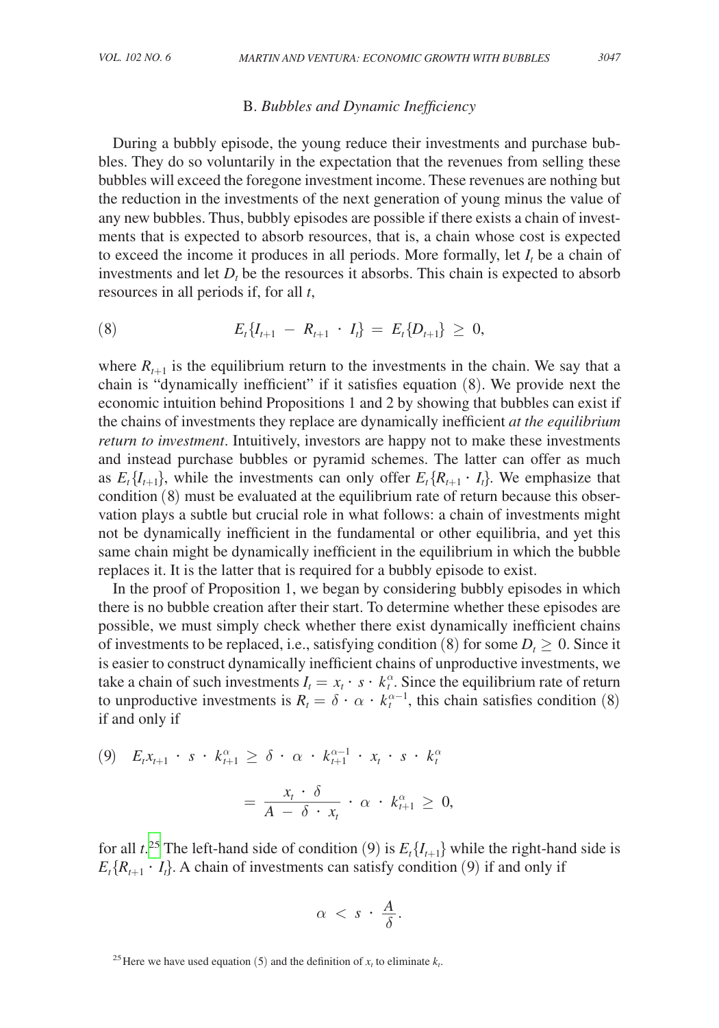#### B. *Bubbles and Dynamic Inefficiency*

During a bubbly episode, the young reduce their investments and purchase bubbles. They do so voluntarily in the expectation that the revenues from selling these bubbles will exceed the foregone investment income. These revenues are nothing but the reduction in the investments of the next generation of young minus the value of any new bubbles. Thus, bubbly episodes are possible if there exists a chain of investments that is expected to absorb resources, that is, a chain whose cost is expected to exceed the income it produces in all periods. More formally, let  $I_t$  be a chain of investments and let  $D<sub>t</sub>$  be the resources it absorbs. This chain is expected to absorb resources in all periods if, for all *t*,

$$
(8) \t E_t\{I_{t+1} - R_{t+1} \cdot I_t\} = E_t\{D_{t+1}\} \geq 0,
$$

where  $R_{t+1}$  is the equilibrium return to the investments in the chain. We say that a chain is "dynamically inefficient" if it satisfies equation (8). We provide next the economic intuition behind Propositions 1 and 2 by showing that bubbles can exist if the chains of investments they replace are dynamically inefficient *at the equilibrium return to investment*. Intuitively, investors are happy not to make these investments and instead purchase bubbles or pyramid schemes. The latter can offer as much as  $E_t\{I_{t+1}\}$ , while the investments can only offer  $E_t\{R_{t+1} \cdot I_t\}$ . We emphasize that condition (8) must be evaluated at the equilibrium rate of return because this observation plays a subtle but crucial role in what follows: a chain of investments might not be dynamically inefficient in the fundamental or other equilibria, and yet this same chain might be dynamically inefficient in the equilibrium in which the bubble replaces it. It is the latter that is required for a bubbly episode to exist.

In the proof of Proposition 1, we began by considering bubbly episodes in which there is no bubble creation after their start. To determine whether these episodes are possible, we must simply check whether there exist dynamically inefficient chains of investments to be replaced, i.e., satisfying condition (8) for some  $D_t \geq 0$ . Since it is easier to construct dynamically inefficient chains of unproductive investments, we take a chain of such investments  $I_t = x_t \cdot s \cdot k_t^{\alpha}$ . Since the equilibrium rate of return to unproductive investments is  $R_t = \delta \cdot \alpha \cdot k_t^{\alpha-1}$ , this chain satisfies condition (8) if and only if

(9) 
$$
E_t x_{t+1} \cdot s \cdot k_{t+1}^{\alpha} \ge \delta \cdot \alpha \cdot k_{t+1}^{\alpha-1} \cdot x_t \cdot s \cdot k_t^{\alpha}
$$
  

$$
= \frac{x_t \cdot \delta}{A - \delta \cdot x_t} \cdot \alpha \cdot k_{t+1}^{\alpha} \ge 0,
$$
  
for all  $t^{25}$  The left-hand side of condition (9) is  $E\{I_{t+1}\}$ 

for all  $t^{25}$  $t^{25}$  $t^{25}$ . The left-hand side of condition (9) is  $E_t\{I_{t+1}\}\$  while the right-hand side is  $E_t$ { $R_{t+1}$  ·  $I_t$ }. A chain of investments can satisfy condition (9) if and only if

$$
\alpha < s \cdot \frac{A}{\delta}.
$$

<span id="page-14-0"></span><sup>&</sup>lt;sup>25</sup> Here we have used equation (5) and the definition of  $x<sub>t</sub>$  to eliminate  $k<sub>t</sub>$ .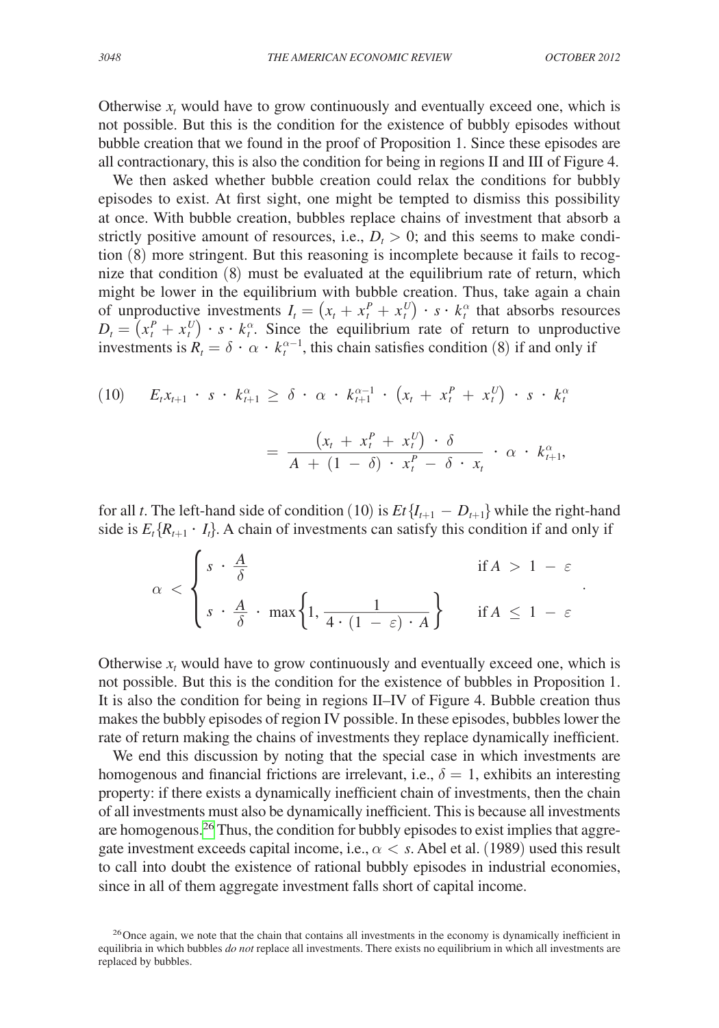.

Otherwise  $x_t$  would have to grow continuously and eventually exceed one, which is not possible. But this is the condition for the existence of bubbly episodes without bubble creation that we found in the proof of Proposition 1. Since these episodes are all contractionary, this is also the condition for being in regions II and III of Figure 4.

We then asked whether bubble creation could relax the conditions for bubbly episodes to exist. At first sight, one might be tempted to dismiss this possibility at once. With bubble creation, bubbles replace chains of investment that absorb a strictly positive amount of resources, i.e.,  $D_t > 0$ ; and this seems to make condition (8) more stringent. But this reasoning is incomplete because it fails to recognize that condition (8) must be evaluated at the equilibrium rate of return, which might be lower in the equilibrium with bubble creation. Thus, take again a chain of unproductive investments  $I_t = (x_t + x_t^P + x_t^U) \cdot s \cdot k_t^\alpha$  that absorbs resources  $D_t = (x_t^P + x_t^U) \cdot s \cdot k_t^{\alpha}$ . Since the equilibrium rate of return to unproductive investments is  $R_t = \delta \cdot \alpha \cdot k_t^{\alpha-1}$ , this chain satisfies condition (8) if and only if

(10) 
$$
E_{t}x_{t+1} \cdot s \cdot k_{t+1}^{\alpha} \geq \delta \cdot \alpha \cdot k_{t+1}^{\alpha-1} \cdot (x_{t} + x_{t}^{P} + x_{t}^{U}) \cdot s \cdot k_{t}^{\alpha}
$$

$$
= \frac{(x_{t} + x_{t}^{P} + x_{t}^{U}) \cdot \delta}{A + (1 - \delta) \cdot x_{t}^{P} - \delta \cdot x_{t}} \cdot \alpha \cdot k_{t+1}^{\alpha},
$$

for all *t*. The left-hand side of condition (10) is  $Et\{I_{t+1} - D_{t+1}\}\$  while the right-hand side is  $E_t$ { $R_{t+1}$  ·  $I_t$ }. A chain of investments can satisfy this condition if and only if

$$
\alpha < \begin{cases} s & \frac{A}{\delta} & \text{if } A > 1 - \varepsilon \\ s & \frac{A}{\delta} \cdot \max\left\{1, \frac{1}{4 \cdot (1 - \varepsilon) \cdot A}\right\} & \text{if } A \le 1 - \varepsilon \end{cases}
$$

Otherwise  $x_t$  would have to grow continuously and eventually exceed one, which is not possible. But this is the condition for the existence of bubbles in Proposition 1. It is also the condition for being in regions II–IV of Figure 4. Bubble creation thus makes the bubbly episodes of region IV possible. In these episodes, bubbles lower the rate of return making the chains of investments they replace dynamically inefficient.

We end this discussion by noting that the special case in which investments are homogenous and financial frictions are irrelevant, i.e.,  $\delta = 1$ , exhibits an interesting property: if there exists a dynamically inefficient chain of investments, then the chain of all investments must also be dynamically inefficient. This is because all investments are homogenous.<sup>26</sup> Thus, the condition for bubbly episodes to exist implies that aggregate investment exceeds capital income, i.e.,  $\alpha < s$ . Abel et al. (1989) used this result to call into doubt the existence of rational bubbly episodes in industrial economies, since in all of them aggregate investment falls short of capital income.

<span id="page-15-0"></span> $^{26}$  Once again, we note that the chain that contains all investments in the economy is dynamically inefficient in equilibria in which bubbles *do not* replace all investments. There exists no equilibrium in which all investments are replaced by bubbles.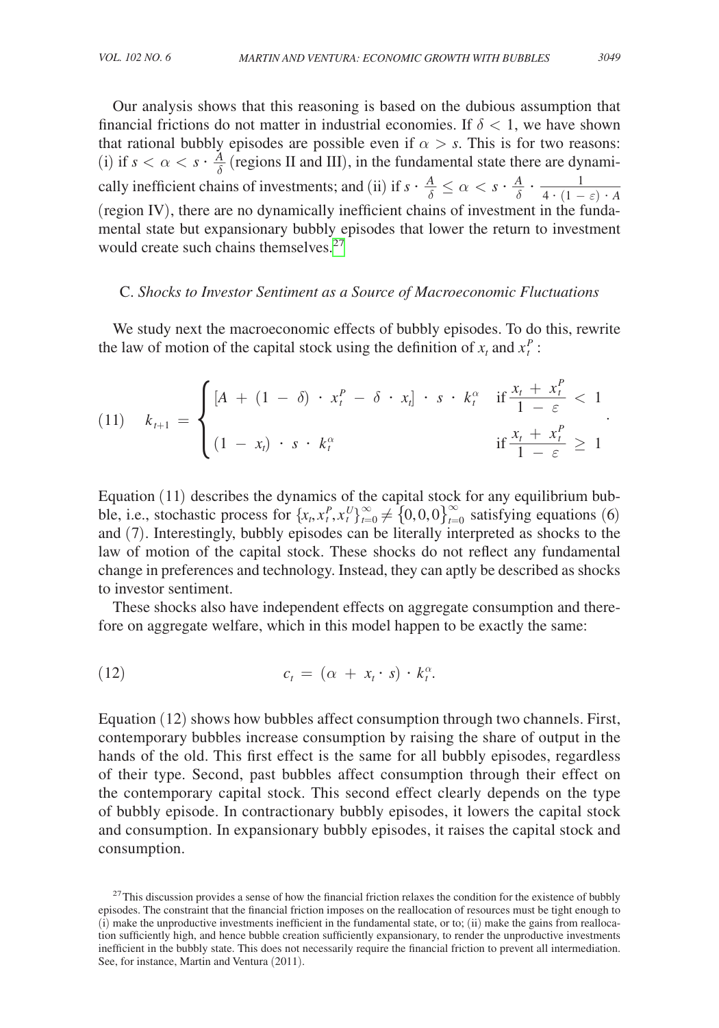Our analysis shows that this reasoning is based on the dubious assumption that financial frictions do not matter in industrial economies. If  $\delta$  < 1, we have shown that rational bubbly episodes are possible even if  $\alpha > s$ . This is for two reasons: (i) if  $s < \alpha < s \cdot \frac{\tilde{A}}{\delta}$  (regions II and III), in the fundamental state there are dynamically inefficient chains of investments; and (ii) if  $s \cdot \frac{A}{\delta} \leq \alpha < s \cdot \frac{A}{\delta}$ assumption that<br>
, we have shown<br>
for two reasons:<br>
here are dynami-<br>  $\frac{A}{\delta} \cdot \frac{1}{4 \cdot (1 - \varepsilon) \cdot A}$ <br>
ent in the funda-<br>
rn to investment (region IV), there are no dynamically inefficient chains of investment in the fundamental state but expansionary bubbly episodes that lower the return to investment would create such chains themselves.<sup>[27](#page-16-0)</sup>

### C. *Shocks to Investor Sentiment as a Source of Macroeconomic Fluctuations*

We study next the macroeconomic effects of bubbly episodes. To do this, rewrite

the law of motion of the capital stock using the definition of 
$$
x_t
$$
 and  $x_t^P$ :  
\n(11) 
$$
k_{t+1} = \begin{cases} [A + (1 - \delta) \cdot x_t^P - \delta \cdot x_t] \cdot s \cdot k_t^{\alpha} & \text{if } \frac{x_t + x_t^P}{1 - \varepsilon} < 1 \\ (1 - x_t) \cdot s \cdot k_t^{\alpha} & \text{if } \frac{x_t + x_t^P}{1 - \varepsilon} \ge 1 \end{cases}
$$

Equation (11) describes the dynamics of the capital stock for any equilibrium bubble, i.e., stochastic process for  $\{x_t, x_t^P, x_t^U\}_{t=0}^{\infty} \neq \{0, 0, 0\}_{t=0}^{\infty}$  satisfying equations (6) and (7). Interestingly, bubbly episodes can be literally interpreted as shocks to the law of motion of the capital stock. These shocks do not reflect any fundamental change in preferences and technology. Instead, they can aptly be described as shocks to investor sentiment.

These shocks also have independent effects on aggregate consumption and therefore on aggregate welfare, which in this model happen to be exactly the same:

$$
c_t = (\alpha + x_t \cdot s) \cdot k_t^{\alpha}.
$$

Equation (12) shows how bubbles affect consumption through two channels. First, contemporary bubbles increase consumption by raising the share of output in the hands of the old. This first effect is the same for all bubbly episodes, regardless of their type. Second, past bubbles affect consumption through their effect on the contemporary capital stock. This second effect clearly depends on the type of bubbly episode. In contractionary bubbly episodes, it lowers the capital stock and consumption. In expansionary bubbly episodes, it raises the capital stock and consumption.

<span id="page-16-0"></span> $27$ This discussion provides a sense of how the financial friction relaxes the condition for the existence of bubbly episodes. The constraint that the financial friction imposes on the reallocation of resources must be tight enough to  $(i)$  make the unproductive investments inefficient in the fundamental state, or to;  $(ii)$  make the gains from reallocation sufficiently high, and hence bubble creation sufficiently expansionary, to render the unproductive investments inefficient in the bubbly state. This does not necessarily require the financial friction to prevent all intermediation. See, for instance, Martin and Ventura (2011).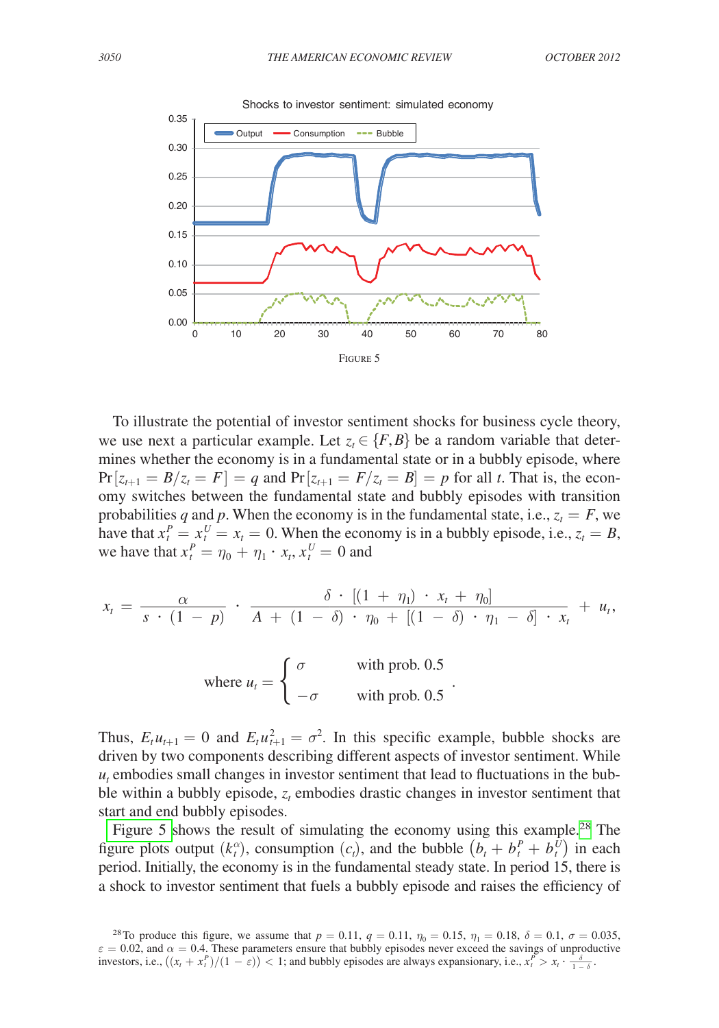

To illustrate the potential of investor sentiment shocks for business cycle theory, we use next a particular example. Let  $z_t \in \{F, B\}$  be a random variable that determines whether the economy is in a fundamental state or in a bubbly episode, where  $Pr[z_{t+1} = B | z_t = F] = q$  and  $Pr[z_{t+1} = F | z_t = B] = p$  for all *t*. That is, the economy switches between the fundamental state and bubbly episodes with transition probabilities *q* and *p*. When the economy is in the fundamental state, i.e.,  $z_t = F$ , we have that  $x_t^P = x_t^U = x_t = 0$ . When the economy is in a bubbly episode, i.e.,  $z_t = B$ , we have that  $x_t^P = \eta_0 + \eta_1 \cdot x_t, x_t^U = 0$  and

have that 
$$
x_t^p = x_t^U = x_t = 0
$$
. When the economy is in a bubble episode, i.e.,  $z_t = B$   
we have that  $x_t^p = \eta_0 + \eta_1 \cdot x_t$ ,  $x_t^U = 0$  and  

$$
x_t = \frac{\alpha}{s \cdot (1 - p)} \cdot \frac{\delta \cdot [(1 + \eta_1) \cdot x_t + \eta_0]}{A + (1 - \delta) \cdot \eta_0 + [(1 - \delta) \cdot \eta_1 - \delta] \cdot x_t} + u_t,
$$
  
where  $u_t = \begin{cases} \sigma & \text{with prob. } 0.5 \\ -\sigma & \text{with prob. } 0.5 \end{cases}$ .

Thus,  $E_t u_{t+1} = 0$  and  $E_t u_{t+1}^2 = \sigma^2$ . In this specific example, bubble shocks are driven by two components describing different aspects of investor sentiment. While  $u_t$  embodies small changes in investor sentiment that lead to fluctuations in the bubble within a bubbly episode,  $z_t$  embodies drastic changes in investor sentiment that start and end bubbly episodes.

Figure 5 shows the result of simulating the economy using this example.<sup>28</sup> The figure plots output  $(k_t^{\alpha})$ , consumption  $(c_t)$ , and the bubble  $(b_t + b_t^p + b_t^v)$  in each period. Initially, the economy is in the fundamental steady state. In period 15, there is a shock to investor sentiment that fuels a bubbly episode and raises the efficiency of

<span id="page-17-0"></span><sup>&</sup>lt;sup>28</sup>To produce this figure, we assume that  $p = 0.11$ ,  $q = 0.11$ ,  $\eta_0 = 0.15$ ,  $\eta_1 = 0.18$ ,  $\delta = 0.1$ ,  $\sigma = 0.035$ ,  $\varepsilon = 0.02$ , and  $\alpha = 0.4$ . These parameters ensure that bubbly episodes never exceed the savings of unproductive  $ε = 0.02$ , and  $α = 0.4$ . These parameters ensure that bubbly episodes never exceed the savings of unproduinvestors, i.e.,  $((x_t + x_t^p)/(1 - ε)) < 1$ ; and bubbly episodes are always expansionary, i.e.,  $x_t^p > x_t \cdot \frac{\delta}{1 - \delta}$ .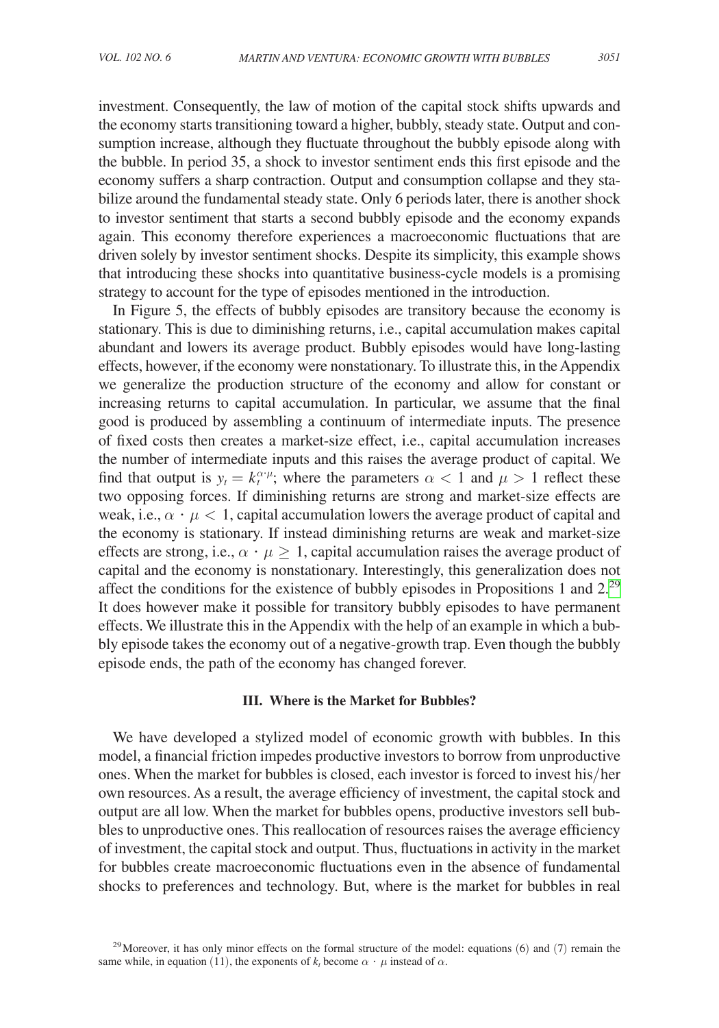investment. Consequently, the law of motion of the capital stock shifts upwards and the economy starts transitioning toward a higher, bubbly, steady state. Output and consumption increase, although they fluctuate throughout the bubbly episode along with the bubble. In period 35, a shock to investor sentiment ends this first episode and the economy suffers a sharp contraction. Output and consumption collapse and they stabilize around the fundamental steady state. Only 6 periods later, there is another shock to investor sentiment that starts a second bubbly episode and the economy expands again. This economy therefore experiences a macroeconomic fluctuations that are driven solely by investor sentiment shocks. Despite its simplicity, this example shows that introducing these shocks into quantitative business-cycle models is a promising strategy to account for the type of episodes mentioned in the introduction.

In Figure 5, the effects of bubbly episodes are transitory because the economy is stationary. This is due to diminishing returns, i.e., capital accumulation makes capital abundant and lowers its average product. Bubbly episodes would have long-lasting effects, however, if the economy were nonstationary. To illustrate this, in the Appendix we generalize the production structure of the economy and allow for constant or increasing returns to capital accumulation. In particular, we assume that the final good is produced by assembling a continuum of intermediate inputs. The presence of fixed costs then creates a market-size effect, i.e., capital accumulation increases the number of intermediate inputs and this raises the average product of capital. We find that output is  $y_t = k_t^{\alpha \mu}$ ; where the parameters  $\alpha < 1$  and  $\mu > 1$  reflect these two opposing forces. If diminishing returns are strong and market-size effects are weak, i.e.,  $\alpha \cdot \mu < 1$ , capital accumulation lowers the average product of capital and the economy is stationary. If instead diminishing returns are weak and market-size effects are strong, i.e.,  $\alpha \cdot \mu \geq 1$ , capital accumulation raises the average product of capital and the economy is nonstationary. Interestingly, this generalization does not affect the conditions for the existence of bubbly episodes in Propositions 1 and 2.[29](#page-18-0) It does however make it possible for transitory bubbly episodes to have permanent effects. We illustrate this in the Appendix with the help of an example in which a bubbly episode takes the economy out of a negative-growth trap. Even though the bubbly episode ends, the path of the economy has changed forever.

## **III. Where is the Market for Bubbles?**

We have developed a stylized model of economic growth with bubbles. In this model, a financial friction impedes productive investors to borrow from unproductive ones. When the market for bubbles is closed, each investor is forced to invest his/her own resources. As a result, the average efficiency of investment, the capital stock and output are all low. When the market for bubbles opens, productive investors sell bubbles to unproductive ones. This reallocation of resources raises the average efficiency of investment, the capital stock and output. Thus, fluctuations in activity in the market for bubbles create macroeconomic fluctuations even in the absence of fundamental shocks to preferences and technology. But, where is the market for bubbles in real

<span id="page-18-0"></span><sup>&</sup>lt;sup>29</sup> Moreover, it has only minor effects on the formal structure of the model: equations (6) and (7) remain the same while, in equation (11), the exponents of  $k_t$  become  $\alpha \cdot \mu$  instead of  $\alpha$ .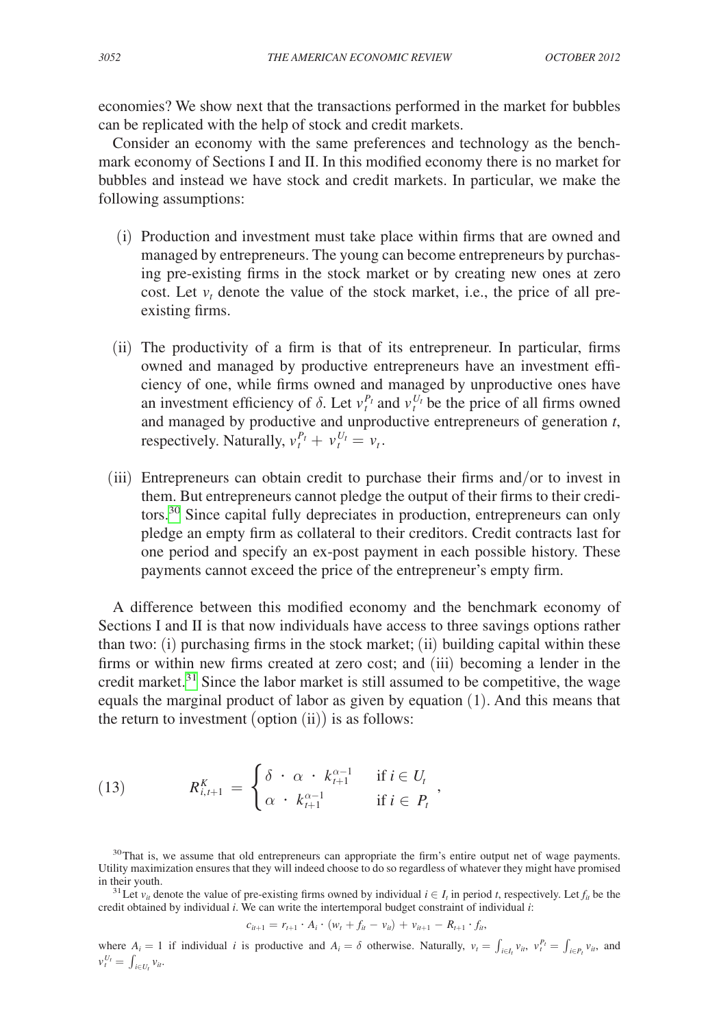economies? We show next that the transactions performed in the market for bubbles can be replicated with the help of stock and credit markets.

Consider an economy with the same preferences and technology as the benchmark economy of Sections I and II. In this modified economy there is no market for bubbles and instead we have stock and credit markets. In particular, we make the following assumptions:

- (i) Production and investment must take place within firms that are owned and managed by entrepreneurs. The young can become entrepreneurs by purchasing pre-existing firms in the stock market or by creating new ones at zero cost. Let  $v_t$  denote the value of the stock market, i.e., the price of all preexisting firms.
- (ii) The productivity of a firm is that of its entrepreneur. In particular, firms owned and managed by productive entrepreneurs have an investment efficiency of one, while firms owned and managed by unproductive ones have an investment efficiency of  $\delta$ . Let  $v_t^{p_t}$  and  $v_t^{U_t}$  be the price of all firms owned and managed by productive and unproductive entrepreneurs of generation *t*, respectively. Naturally,  $v_t^{P_t} + v_t^{U_t} = v_t$ .
- (iii) Entrepreneurs can obtain credit to purchase their firms and/or to invest in them. But entrepreneurs cannot pledge the output of their firms to their creditors.<sup>30</sup> Since capital fully depreciates in production, entrepreneurs can only pledge an empty firm as collateral to their creditors. Credit contracts last for one period and specify an ex-post payment in each possible history. These payments cannot exceed the price of the entrepreneur's empty firm.

A difference between this modified economy and the benchmark economy of Sections I and II is that now individuals have access to three savings options rather than two: (i) purchasing firms in the stock market; (ii) building capital within these firms or within new firms created at zero cost; and (iii) becoming a lender in the credit market. $31$  Since the labor market is still assumed to be competitive, the wage equals the marginal product of labor as given by equation (1). And this means that the return to investment (option  $(ii)$ ) is as follows:

(13) 
$$
R_{i,t+1}^K = \begin{cases} \delta \cdot \alpha \cdot k_{t+1}^{\alpha-1} & \text{if } i \in U_t \\ \alpha \cdot k_{t+1}^{\alpha-1} & \text{if } i \in P_t \end{cases}
$$

<span id="page-19-1"></span>in their youth.<br><sup>31</sup>Let  $v_{ii}$  denote the value of pre-existing firms owned by individual  $i \in I_i$  in period *t*, respectively. Let  $f_{ii}$  be the credit obtained by individual *i*. We can write the intertemporal budget constraint of individual *i*:

$$
c_{it+1} = r_{t+1} \cdot A_i \cdot (w_t + f_{it} - v_{it}) + v_{it+1} - R_{t+1} \cdot f_{it},
$$

where  $A_i = 1$  if individual *i* is productive and  $A_i = \delta$  otherwise. Naturally,  $v_t = \int_{i \in I_t} v_{it}$ ,  $v_t^P = \int_{i \in P_t} v_{it}$ , and  $v_t^{U_t} = \int_{i \in U_t} v_{it}.$ 

<span id="page-19-0"></span><sup>&</sup>lt;sup>30</sup>That is, we assume that old entrepreneurs can appropriate the firm's entire output net of wage payments. Utility maximization ensures that they will indeed choose to do so regardless of whatever they might have promised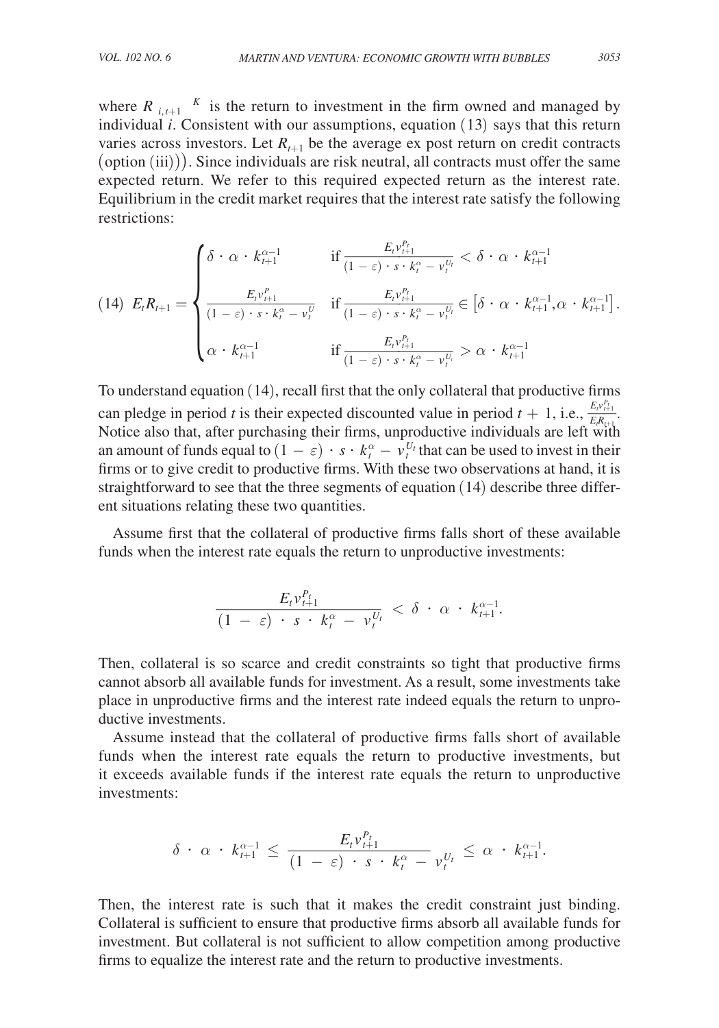where  $R_{i,t+1}$ <sup> $K$ </sup> is the return to investment in the firm owned and managed by individual *i*. Consistent with our assumptions, equation (13) says that this return varies across investors. Let  $R_{t+1}$  be the average ex post return on credit contracts (option (iii))). Since individuals are risk neutral, all contracts must offer the same expected return. We refer to this required expected return as the interest rate. Equilibrium in the credit market requires that the interest rate satisfy the following restrictions:

Equilibrium in the certain market requires that the interest rate satisfy the following restrictions:

\n
$$
\begin{cases}\n\delta \cdot \alpha \cdot k_{t+1}^{\alpha-1} & \text{if } \frac{E_t v_{t+1}^p}{(1-\varepsilon) \cdot s \cdot k_t^\alpha - v_t^{U_t}} < \delta \cdot \alpha \cdot k_{t+1}^{\alpha-1} \\
\frac{E_t v_{t+1}^p}{(1-\varepsilon) \cdot s \cdot k_t^\alpha - v_t^U} & \text{if } \frac{E_t v_{t+1}^{P_t}}{(1-\varepsilon) \cdot s \cdot k_t^\alpha - v_t^{U_t}} \in \left[\delta \cdot \alpha \cdot k_{t+1}^{\alpha-1}, \alpha \cdot k_{t+1}^{\alpha-1}\right]. \\
\alpha \cdot k_{t+1}^{\alpha-1} & \text{if } \frac{E_t v_{t+1}^p}{(1-\varepsilon) \cdot s \cdot k_t^\alpha - v_t^{U_t}} > \alpha \cdot k_{t+1}^{\alpha-1}\n\end{cases}
$$

To understand equation (14), recall first that the only collateral that productive firms To understand equation (14), recall first that the only collateral that productive firms<br>can pledge in period *t* is their expected discounted value in period  $t + 1$ , i.e.,  $\frac{E_t P_{t+1}^{t}}{E_t R_{t+1}}$ <br>Notice also that, afte *Pt*  $\frac{E_t V_{t+1}}{E_t R_{t+1}}$ . Notice also that, after purchasing their firms, unproductive individuals are left with an amount of funds equal to  $(1 - \varepsilon) \cdot s \cdot k_t^{\alpha} - v_t^{U_t}$  that can be used to invest in their firms or to give credit to productive firms. With these two observations at hand, it is straightforward to see that the three segments of equation (14) describe three different situations relating these two quantities.

Assume first that the collateral of productive firms falls short of these available funds when the interest rate equals the return to unproductive investments:

It is called the *collateral* of the productive forms falls short  
\n *et* that *rel* equals the return to unproductive in  
\n 
$$
\frac{E_t v_{t+1}^{P_t}}{(1 - \varepsilon) \cdot s \cdot k_t^{\alpha} - v_t^{U_t}} < \delta \cdot \alpha \cdot k_{t+1}^{\alpha-1}
$$
.

Then, collateral is so scarce and credit constraints so tight that productive firms cannot absorb all available funds for investment. As a result, some investments take place in unproductive firms and the interest rate indeed equals the return to unproductive investments.

Assume instead that the collateral of productive firms falls short of available funds when the interest rate equals the return to productive investments, but it exceeds available funds if the interest rate equals the return to unproductive investments:

s:  
\n
$$
\delta \cdot \alpha \cdot k_{t+1}^{\alpha-1} \leq \frac{E_t v_{t+1}^{P_t}}{(1-\varepsilon) \cdot s \cdot k_t^{\alpha} - v_t^{U_t}} \leq \alpha \cdot k_{t+1}^{\alpha-1}.
$$

Then, the interest rate is such that it makes the credit constraint just binding. Collateral is sufficient to ensure that productive firms absorb all available funds for investment. But collateral is not sufficient to allow competition among productive firms to equalize the interest rate and the return to productive investments.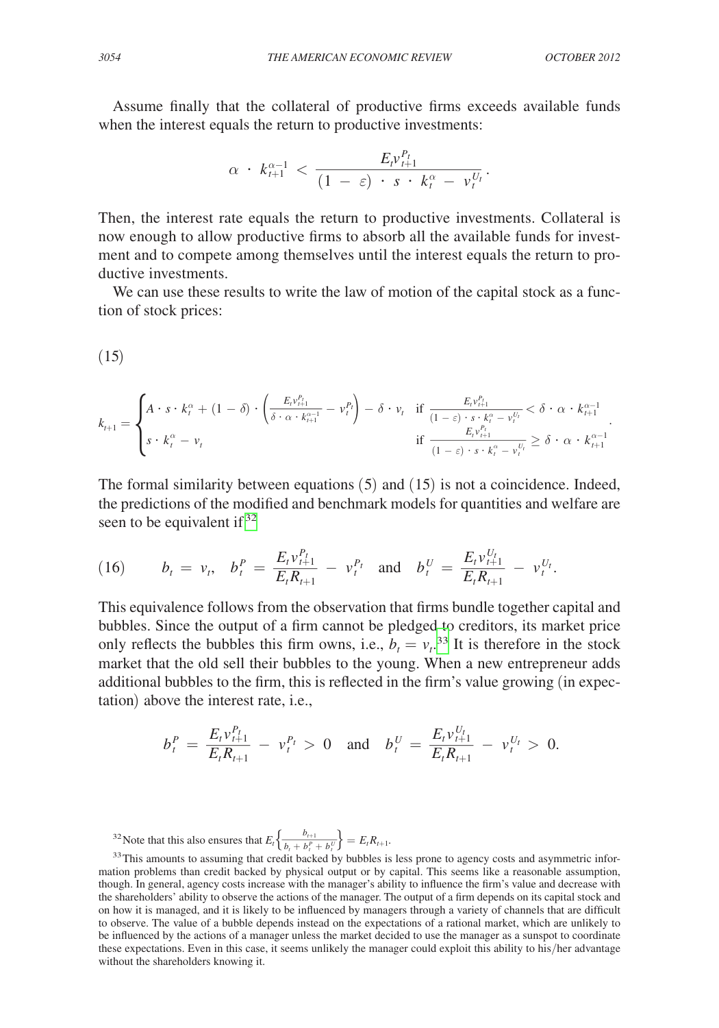Assume finally that the collateral of productive firms exceeds available funds when the interest equals the return to productive investments:

that the collateral of productive firms exec  
\nuals the return to productive investments:  
\n
$$
\alpha \cdot k_{t+1}^{\alpha-1} < \frac{E_t v_{t+1}^{P_t}}{(1 - \varepsilon) \cdot s \cdot k_t^{\alpha} - v_t^{U_t}}
$$
\nat the equals the return to productive invest

Then, the interest rate equals the return to productive investments. Collateral is now enough to allow productive firms to absorb all the available funds for investment and to compete among themselves until the interest equals the return to productive investments.

We can use these results to write the law of motion of the capital stock as a function of stock prices:

$$
(15)
$$

(15)  
\n
$$
k_{t+1} = \begin{cases}\nA \cdot s \cdot k_t^{\alpha} + (1 - \delta) \cdot \left(\frac{E_t v_{t+1}^{p_t}}{\delta \cdot \alpha \cdot k_{t+1}^{a-1}} - v_t^{p_t}\right) - \delta \cdot v_t & \text{if } \frac{E_t v_{t+1}^{p_t}}{(1 - \varepsilon) \cdot s \cdot k_t^{\alpha} - v_t^{p_t}} < \delta \cdot \alpha \cdot k_{t+1}^{a-1} \\
s \cdot k_t^{\alpha} - v_t & \text{if } \frac{E_t v_{t+1}^{p_t}}{(1 - \varepsilon) \cdot s \cdot k_t^{\alpha} - v_t^{p_t}} \ge \delta \cdot \alpha \cdot k_{t+1}^{a-1}\n\end{cases}
$$

The formal similarity between equations (5) and (15) is not a coincidence. Indeed, the predictions of the modified and benchmark models for quantities and welfare are seen to be equivalent if  $32$ 

(16) 
$$
b_{t} = v_{t}, \quad b_{t}^{P} = \frac{E_{t}v_{t+1}^{P_{t}}}{E_{t}R_{t+1}} - v_{t}^{P_{t}} \quad \text{and} \quad b_{t}^{U} = \frac{E_{t}v_{t+1}^{U_{t}}}{E_{t}R_{t+1}} - v_{t}^{U_{t}}.
$$

This equivalence follows from the observation that firms bundle together capital and bubbles. Since the output of a firm cannot be pledged to creditors, its market price only reflects the bubbles this firm owns, i.e.,  $\bar{b}_t = v_t^{33}$  $\bar{b}_t = v_t^{33}$  $\bar{b}_t = v_t^{33}$ . It is therefore in the stock market that the old sell their bubbles to the young. When a new entrepreneur adds additional bubbles to the firm, this is reflected in the firm's value growing (in expectation) above the interest rate, i.e.,

Now the interest rate, i.e.,

\n
$$
b_t^P = \frac{E_t v_{t+1}^{P_t}}{E_t R_{t+1}} - v_t^{P_t} > 0 \quad \text{and} \quad b_t^U = \frac{E_t v_{t+1}^{U_t}}{E_t R_{t+1}} - v_t^{U_t} > 0.
$$

<sup>32</sup> Note that this also ensures that  $E_t\left\{\frac{b_{t+1}}{b_t + b_t^p + b_t^p} \right\}$ <br><sup>33</sup> This amounts to assuming that credit backed b<br>tion problems than credit backed by physical or  $b_{t+1}$  $\left\{\frac{b_{t+1}}{b_t + b_t^P + b_t^U}\right\} = E_t R_{t+1}.$ 

<span id="page-21-1"></span><span id="page-21-0"></span><sup>33</sup>This amounts to assuming that credit backed by bubbles is less prone to agency costs and asymmetric information problems than credit backed by physical output or by capital. This seems like a reasonable assumption, though. In general, agency costs increase with the manager's ability to influence the firm's value and decrease with the shareholders' ability to observe the actions of the manager. The output of a firm depends on its capital stock and on how it is managed, and it is likely to be influenced by managers through a variety of channels that are difficult to observe. The value of a bubble depends instead on the expectations of a rational market, which are unlikely to be influenced by the actions of a manager unless the market decided to use the manager as a sunspot to coordinate these expectations. Even in this case, it seems unlikely the manager could exploit this ability to his/her advantage without the shareholders knowing it.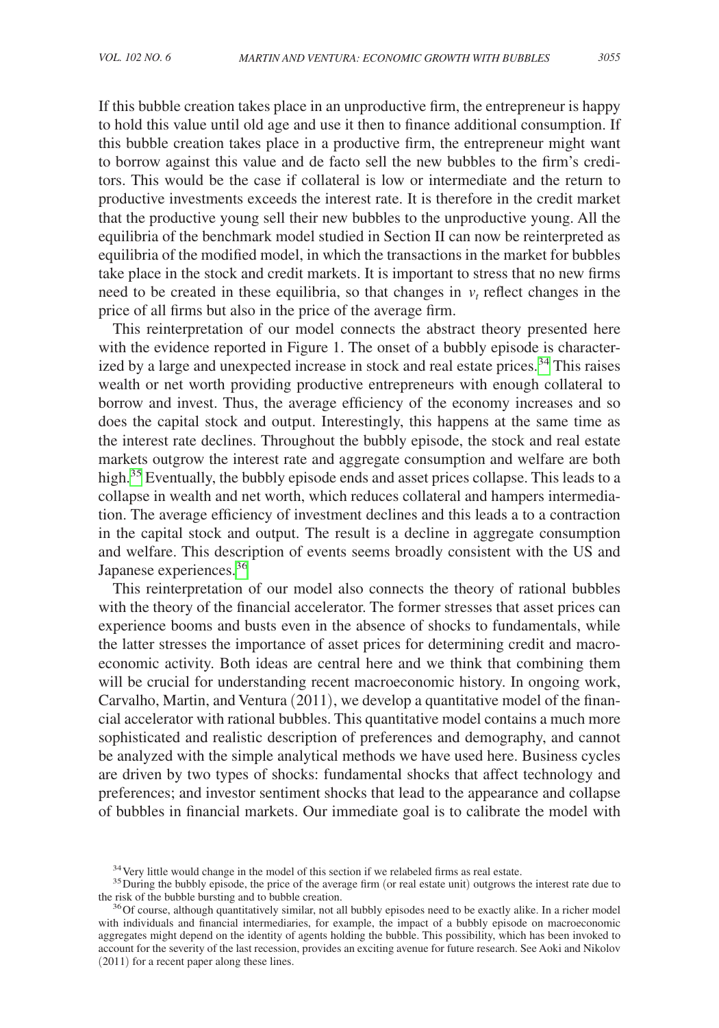If this bubble creation takes place in an unproductive firm, the entrepreneur is happy to hold this value until old age and use it then to finance additional consumption. If this bubble creation takes place in a productive firm, the entrepreneur might want to borrow against this value and de facto sell the new bubbles to the firm's creditors. This would be the case if collateral is low or intermediate and the return to productive investments exceeds the interest rate. It is therefore in the credit market that the productive young sell their new bubbles to the unproductive young. All the equilibria of the benchmark model studied in Section II can now be reinterpreted as equilibria of the modified model, in which the transactions in the market for bubbles take place in the stock and credit markets. It is important to stress that no new firms need to be created in these equilibria, so that changes in  $v_t$  reflect changes in the price of all firms but also in the price of the average firm.

This reinterpretation of our model connects the abstract theory presented here with the evidence reported in Figure 1. The onset of a bubbly episode is character-ized by a large and unexpected increase in stock and real estate prices.<sup>[34](#page-22-0)</sup> This raises wealth or net worth providing productive entrepreneurs with enough collateral to borrow and invest. Thus, the average efficiency of the economy increases and so does the capital stock and output. Interestingly, this happens at the same time as the interest rate declines. Throughout the bubbly episode, the stock and real estate markets outgrow the interest rate and aggregate consumption and welfare are both high.<sup>[35](#page-22-1)</sup> Eventually, the bubbly episode ends and asset prices collapse. This leads to a collapse in wealth and net worth, which reduces collateral and hampers intermediation. The average efficiency of investment declines and this leads a to a contraction in the capital stock and output. The result is a decline in aggregate consumption and welfare. This description of events seems broadly consistent with the US and Japanese experiences.<sup>[36](#page-22-2)</sup>

This reinterpretation of our model also connects the theory of rational bubbles with the theory of the financial accelerator. The former stresses that asset prices can experience booms and busts even in the absence of shocks to fundamentals, while the latter stresses the importance of asset prices for determining credit and macroeconomic activity. Both ideas are central here and we think that combining them will be crucial for understanding recent macroeconomic history. In ongoing work, Carvalho, Martin, and Ventura (2011), we develop a quantitative model of the financial accelerator with rational bubbles. This quantitative model contains a much more sophisticated and realistic description of preferences and demography, and cannot be analyzed with the simple analytical methods we have used here. Business cycles are driven by two types of shocks: fundamental shocks that affect technology and preferences; and investor sentiment shocks that lead to the appearance and collapse of bubbles in financial markets. Our immediate goal is to calibrate the model with

<span id="page-22-1"></span><span id="page-22-0"></span>

<sup>&</sup>lt;sup>34</sup> Very little would change in the model of this section if we relabeled firms as real estate.<br><sup>35</sup> During the bubbly episode, the price of the average firm (or real estate unit) outgrows the interest rate due to the ri

<span id="page-22-2"></span><sup>&</sup>lt;sup>36</sup>Of course, although quantitatively similar, not all bubbly episodes need to be exactly alike. In a richer model with individuals and financial intermediaries, for example, the impact of a bubbly episode on macroeconomic aggregates might depend on the identity of agents holding the bubble. This possibility, which has been invoked to account for the severity of the last recession, provides an exciting avenue for future research. See Aoki and Nikolov (2011) for a recent paper along these lines.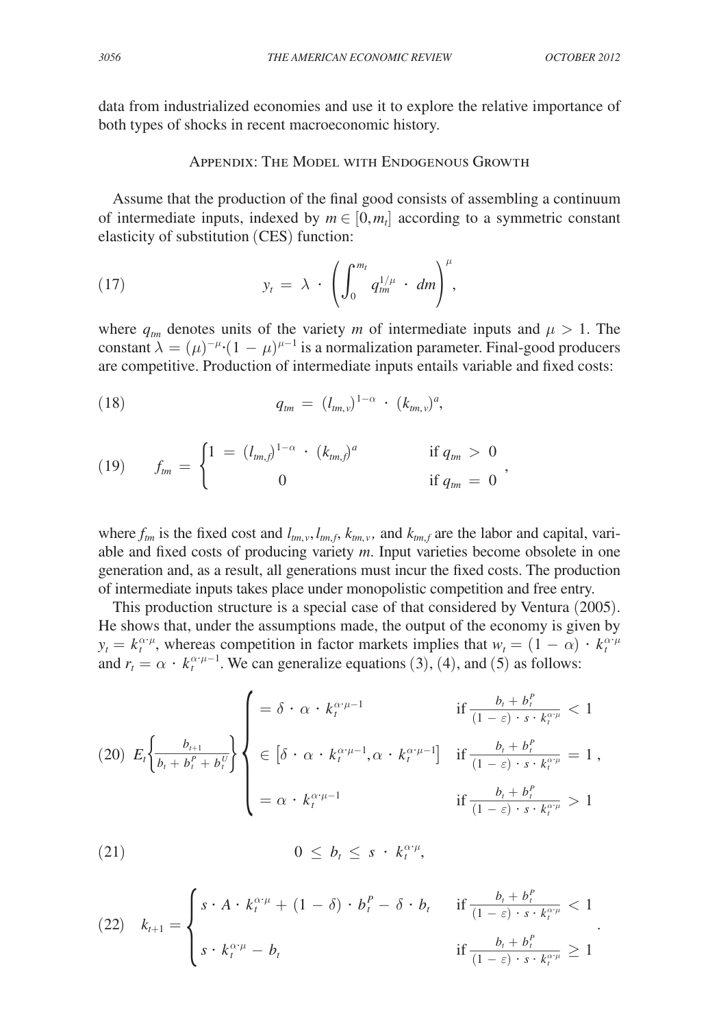data from industrialized economies and use it to explore the relative importance of both types of shocks in recent macroeconomic history.

# Appendix: The Model with Endogenous Growth

Assume that the production of the final good consists of assembling a continuum of intermediate inputs, indexed by  $m \in [0, m_t]$  according to a symmetric constant elasticity of substitution (CES) function:

(17) 
$$
y_t = \lambda \cdot \left( \int_0^{m_t} q_{tm}^{1/\mu} \cdot dm \right)^{\mu},
$$

where  $q_{tm}$  denotes units of the variety *m* of intermediate inputs and  $\mu > 1$ . The constant  $\lambda = (\mu)^{-\mu} \cdot (1 - \mu)^{\mu-1}$  is a normalization parameter. Final-good producers are competitive. Production of intermediate inputs entails variable and fixed costs:

(18) 
$$
q_{tm} = (l_{tm,v})^{1-\alpha} \cdot (k_{tm,v})^a,
$$

(19) 
$$
f_{lm} = \begin{cases} 1 = (l_{lm,f})^{1-\alpha} \cdot (k_{lm,f})^a & \text{if } q_{lm} > 0 \\ 0 & \text{if } q_{lm} = 0 \end{cases}
$$

where  $f_{tm}$  is the fixed cost and  $l_{tm,y}, l_{tm,f}$ ,  $k_{tm,y}$ , and  $k_{tm,f}$  are the labor and capital, variable and fixed costs of producing variety *m*. Input varieties become obsolete in one generation and, as a result, all generations must incur the fixed costs. The production of intermediate inputs takes place under monopolistic competition and free entry.

This production structure is a special case of that considered by Ventura (2005). He shows that, under the assumptions made, the output of the economy is given by  $y_t = k_t^{\alpha \mu}$ , whereas competition in factor markets implies that  $w_t = (1 - \alpha) \cdot k_t^{\alpha \mu}$ and  $r_t = \alpha \cdot k_t^{\alpha \cdot \mu - 1}$ . We can generalize equations (3), (4), and (5) as follows:

He shows that, under the assumptions made, the output of the economy is given  
\n
$$
y_t = k_t^{\alpha \cdot \mu}
$$
, whereas competition in factor markets implies that  $w_t = (1 - \alpha) \cdot k$   
\nand  $r_t = \alpha \cdot k_t^{\alpha \cdot \mu - 1}$ . We can generalize equations (3), (4), and (5) as follows:  
\n
$$
\left\{\n\begin{aligned}\n&= \delta \cdot \alpha \cdot k_t^{\alpha \cdot \mu - 1} &\text{if } \frac{b_t + b_t^p}{(1 - \varepsilon) \cdot s \cdot k_t^{\alpha \cdot \mu}} < 1 \\
&\text{(20)} \ E_t \left\{\n\frac{b_{t+1}}{b_t + b_t^p + b_t^p}\n\right\} < \left[\n\delta \cdot \alpha \cdot k_t^{\alpha \cdot \mu - 1}, \alpha \cdot k_t^{\alpha \cdot \mu - 1}\n\right] &\text{if } \frac{b_t + b_t^p}{(1 - \varepsilon) \cdot s \cdot k_t^{\alpha \cdot \mu}} = 1, \\
&= \alpha \cdot k_t^{\alpha \cdot \mu - 1} &\text{if } \frac{b_t + b_t^p}{(1 - \varepsilon) \cdot s \cdot k_t^{\alpha \cdot \mu}} > 1\n\end{aligned}\n\right\}
$$
\n(21)

$$
(21) \t\t\t 0 \leq b_t \leq s \cdot k_t^{\alpha \cdot \mu},
$$

(21)  
\n
$$
0 \leq b_t \leq s \cdot k_t^{\alpha \cdot \mu},
$$
\n
$$
(22) \quad k_{t+1} = \begin{cases}\ns \cdot A \cdot k_t^{\alpha \cdot \mu} + (1 - \delta) \cdot b_t^P - \delta \cdot b_t & \text{if } \frac{b_t + b_t^P}{(1 - \varepsilon) \cdot s \cdot k_t^{\alpha \cdot \mu}} < 1 \\
s \cdot k_t^{\alpha \cdot \mu} - b_t & \text{if } \frac{b_t + b_t^P}{(1 - \varepsilon) \cdot s \cdot k_t^{\alpha \cdot \mu}} \geq 1\n\end{cases}
$$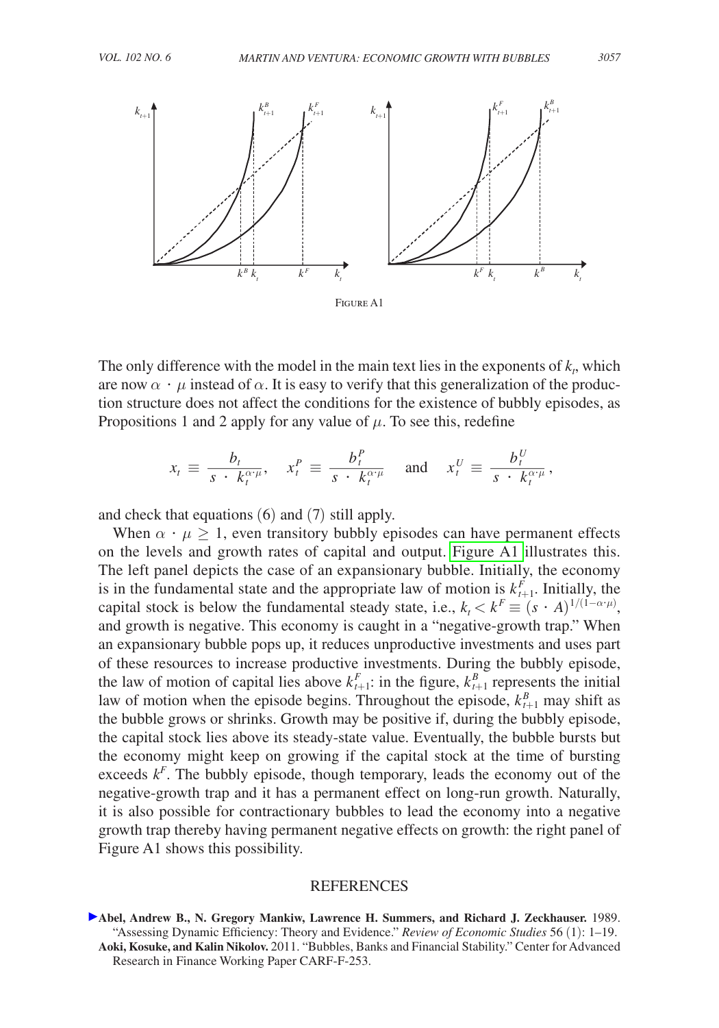

The only difference with the model in the main text lies in the exponents of  $k_t$ , which are now  $\alpha \cdot \mu$  instead of  $\alpha$ . It is easy to verify that this generalization of the production structure does not affect the conditions for the existence of bubbly episodes, as

Propositions 1 and 2 apply for any value of 
$$
\mu
$$
. To see this, redefine  
\n
$$
x_t \equiv \frac{b_t}{s \cdot k_t^{\alpha \cdot \mu}}, \quad x_t^P \equiv \frac{b_t^P}{s \cdot k_t^{\alpha \cdot \mu}} \quad \text{and} \quad x_t^U \equiv \frac{b_t^U}{s \cdot k_t^{\alpha \cdot \mu}},
$$

and check that equations (6) and (7) still apply.

When  $\alpha \cdot \mu \geq 1$ , even transitory bubbly episodes can have permanent effects on the levels and growth rates of capital and output. Figure A1 illustrates this. The left panel depicts the case of an expansionary bubble. Initially, the economy is in the fundamental state and the appropriate law of motion is  $k_{t+1}^F$ . Initially, the capital stock is below the fundamental steady state, i.e.,  $k_t < k^F \equiv (s \cdot A)^{1/(1-\alpha \cdot \mu)}$ , and growth is negative. This economy is caught in a "negative-growth trap." When an expansionary bubble pops up, it reduces unproductive investments and uses part of these resources to increase productive investments. During the bubbly episode, the law of motion of capital lies above  $k_{t+1}^F$ : in the figure,  $k_{t+1}^B$  represents the initial law of motion when the episode begins. Throughout the episode,  $k_{t+1}^B$  may shift as the bubble grows or shrinks. Growth may be positive if, during the bubbly episode, the capital stock lies above its steady-state value. Eventually, the bubble bursts but the economy might keep on growing if the capital stock at the time of bursting exceeds  $k<sup>F</sup>$ . The bubbly episode, though temporary, leads the economy out of the negative-growth trap and it has a permanent effect on long-run growth. Naturally, it is also possible for contractionary bubbles to lead the economy into a negative growth trap thereby having permanent negative effects on growth: the right panel of Figure A1 shows this possibility.

# **REFERENCES**

**Abel, Andrew B., N. Gregory Mankiw, Lawrence H. Summers, and Richard J. Zeckhauser.** 1989. "Assessing Dynamic Efficiency: Theory and Evidence." *Review of Economic Studies* 56 (1): 1–19. **Aoki, Kosuke, and Kalin Nikolov.** 2011. "Bubbles, Banks and Financial Stability." Center for Advanced Research in Finance Working Paper CARF-F-253.